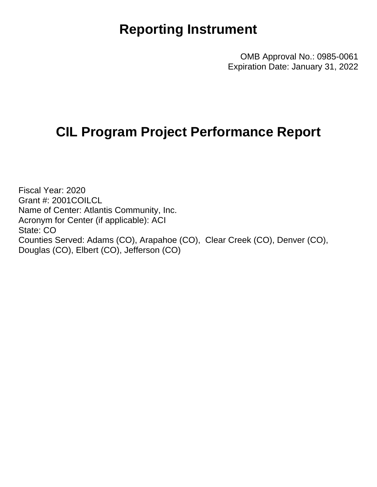## **Reporting Instrument**

OMB Approval No.: 0985-0061 Expiration Date: January 31, 2022

## **CIL Program Project Performance Report**

Fiscal Year: 2020 Grant #: 2001COILCL Name of Center: Atlantis Community, Inc. Acronym for Center (if applicable): ACI State: CO Counties Served: Adams (CO), Arapahoe (CO), Clear Creek (CO), Denver (CO), Douglas (CO), Elbert (CO), Jefferson (CO)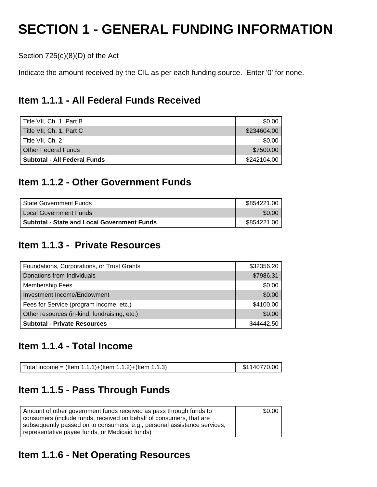# **SECTION 1 - GENERAL FUNDING INFORMATION**

Section 725(c)(8)(D) of the Act

Indicate the amount received by the CIL as per each funding source. Enter '0' for none.

## **Item 1.1.1 - All Federal Funds Received**

| Title VII, Ch. 1, Part B     | \$0.00      |
|------------------------------|-------------|
| Title VII, Ch. 1, Part C     | \$234604.00 |
| Title VII, Ch. 2             | \$0.00      |
| <b>Other Federal Funds</b>   | \$7500.00   |
| Subtotal - All Federal Funds | \$242104.00 |

## **Item 1.1.2 - Other Government Funds**

| l State Government Funds                           | \$854221.00 |
|----------------------------------------------------|-------------|
| Local Government Funds                             | \$0.00      |
| <b>Subtotal - State and Local Government Funds</b> | \$854221.00 |

## **Item 1.1.3 - Private Resources**

| Foundations, Corporations, or Trust Grants   | \$32356.20 |
|----------------------------------------------|------------|
| Donations from Individuals                   | \$7986.31  |
| <b>Membership Fees</b>                       | \$0.00     |
| Investment Income/Endowment                  | \$0.00     |
| Fees for Service (program income, etc.)      | \$4100.00  |
| Other resources (in-kind, fundraising, etc.) | \$0.00     |
| <b>Subtotal - Private Resources</b>          | \$44442.50 |

### **Item 1.1.4 - Total Income**

| Total income = (Item 1.1.1)+(Item 1.1.2)+(Item 1.1.3) | $\frac{1}{2}$ \$1140770.00 |
|-------------------------------------------------------|----------------------------|
|-------------------------------------------------------|----------------------------|

## **Item 1.1.5 - Pass Through Funds**

| Amount of other government funds received as pass through funds to       | \$0.00 |
|--------------------------------------------------------------------------|--------|
| consumers (include funds, received on behalf of consumers, that are      |        |
| subsequently passed on to consumers, e.g., personal assistance services, |        |
| representative payee funds, or Medicaid funds)                           |        |

## **Item 1.1.6 - Net Operating Resources**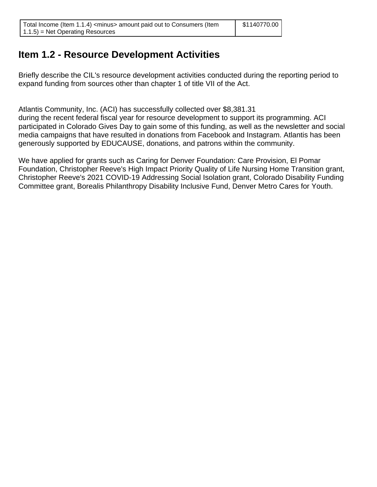## **Item 1.2 - Resource Development Activities**

Briefly describe the CIL's resource development activities conducted during the reporting period to expand funding from sources other than chapter 1 of title VII of the Act.

Atlantis Community, Inc. (ACI) has successfully collected over \$8,381.31 during the recent federal fiscal year for resource development to support its programming. ACI participated in Colorado Gives Day to gain some of this funding, as well as the newsletter and social media campaigns that have resulted in donations from Facebook and Instagram. Atlantis has been generously supported by EDUCAUSE, donations, and patrons within the community.

We have applied for grants such as Caring for Denver Foundation: Care Provision, El Pomar Foundation, Christopher Reeve's High Impact Priority Quality of Life Nursing Home Transition grant, Christopher Reeve's 2021 COVID-19 Addressing Social Isolation grant, Colorado Disability Funding Committee grant, Borealis Philanthropy Disability Inclusive Fund, Denver Metro Cares for Youth.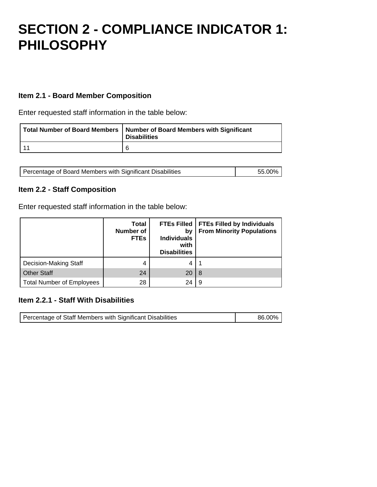## **SECTION 2 - COMPLIANCE INDICATOR 1: PHILOSOPHY**

#### **Item 2.1 - Board Member Composition**

Enter requested staff information in the table below:

| Total Number of Board Members   Number of Board Members with Significant<br><b>Disabilities</b> |
|-------------------------------------------------------------------------------------------------|
| 6                                                                                               |

| Percentage of Board Members with Significant Disabilities | 55.00% |
|-----------------------------------------------------------|--------|
|                                                           |        |

#### **Item 2.2 - Staff Composition**

Enter requested staff information in the table below:

|                                  | <b>Total</b><br><b>Number of</b><br><b>FTEs</b> | <b>FTEs Filled</b><br>by<br><b>Individuals</b><br>with<br><b>Disabilities</b> | <b>FTEs Filled by Individuals</b><br><b>From Minority Populations</b> |
|----------------------------------|-------------------------------------------------|-------------------------------------------------------------------------------|-----------------------------------------------------------------------|
| Decision-Making Staff            | 4                                               | 4                                                                             |                                                                       |
| <b>Other Staff</b>               | 24                                              | 20                                                                            | -8                                                                    |
| <b>Total Number of Employees</b> | 28                                              | 24                                                                            | 9                                                                     |

#### **Item 2.2.1 - Staff With Disabilities**

| Percentage of Staff Members with Significant Disabilities | 86.00% |
|-----------------------------------------------------------|--------|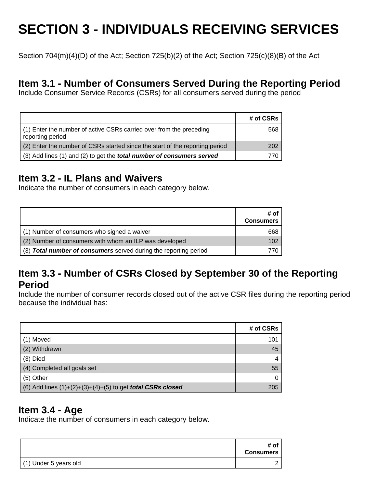# **SECTION 3 - INDIVIDUALS RECEIVING SERVICES**

Section 704(m)(4)(D) of the Act; Section 725(b)(2) of the Act; Section 725(c)(8)(B) of the Act

## **Item 3.1 - Number of Consumers Served During the Reporting Period**

Include Consumer Service Records (CSRs) for all consumers served during the period

|                                                                                         | # of CSRs |
|-----------------------------------------------------------------------------------------|-----------|
| (1) Enter the number of active CSRs carried over from the preceding<br>reporting period | 568       |
| (2) Enter the number of CSRs started since the start of the reporting period            | 202       |
| (3) Add lines (1) and (2) to get the <i>total number of consumers served</i>            |           |

## **Item 3.2 - IL Plans and Waivers**

Indicate the number of consumers in each category below.

|                                                                  | # of<br><b>Consumers</b> |
|------------------------------------------------------------------|--------------------------|
| (1) Number of consumers who signed a waiver                      | 668                      |
| (2) Number of consumers with whom an ILP was developed           | 102                      |
| (3) Total number of consumers served during the reporting period |                          |

### **Item 3.3 - Number of CSRs Closed by September 30 of the Reporting Period**

Include the number of consumer records closed out of the active CSR files during the reporting period because the individual has:

|                                                                     | # of CSRs |
|---------------------------------------------------------------------|-----------|
| (1) Moved                                                           | 101       |
| (2) Withdrawn                                                       | 45        |
| $(3)$ Died                                                          |           |
| (4) Completed all goals set                                         | 55        |
| (5) Other                                                           |           |
| (6) Add lines $(1)+(2)+(3)+(4)+(5)$ to get <b>total CSRs closed</b> | 205       |

### **Item 3.4 - Age**

Indicate the number of consumers in each category below.

|                         | # of<br><b>Consumers</b> |
|-------------------------|--------------------------|
| $(1)$ Under 5 years old |                          |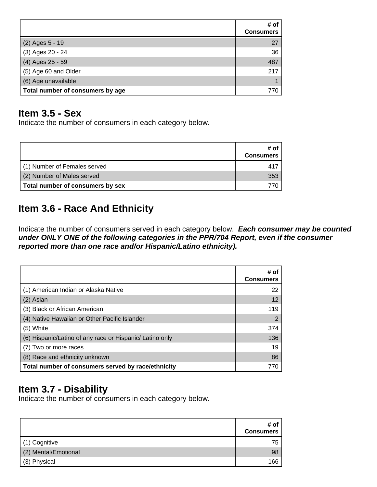|                                  | # of<br><b>Consumers</b> |
|----------------------------------|--------------------------|
| (2) Ages 5 - 19                  | 27                       |
| (3) Ages 20 - 24                 | 36                       |
| (4) Ages 25 - 59                 | 487                      |
| (5) Age 60 and Older             | 217                      |
| (6) Age unavailable              |                          |
| Total number of consumers by age | 770                      |

### **Item 3.5 - Sex**

Indicate the number of consumers in each category below.

|                                  | # of<br><b>Consumers</b> |
|----------------------------------|--------------------------|
| (1) Number of Females served     | 417                      |
| (2) Number of Males served       | 353                      |
| Total number of consumers by sex |                          |

## **Item 3.6 - Race And Ethnicity**

Indicate the number of consumers served in each category below. **Each consumer may be counted under ONLY ONE of the following categories in the PPR/704 Report, even if the consumer reported more than one race and/or Hispanic/Latino ethnicity).**

|                                                          | # of<br><b>Consumers</b> |
|----------------------------------------------------------|--------------------------|
| (1) American Indian or Alaska Native                     | 22                       |
| (2) Asian                                                | 12                       |
| (3) Black or African American                            | 119                      |
| (4) Native Hawaiian or Other Pacific Islander            | 2                        |
| (5) White                                                | 374                      |
| (6) Hispanic/Latino of any race or Hispanic/ Latino only | 136                      |
| (7) Two or more races                                    | 19                       |
| (8) Race and ethnicity unknown                           | 86                       |
| Total number of consumers served by race/ethnicity       | 770                      |

## **Item 3.7 - Disability**

Indicate the number of consumers in each category below.

|                      | # of<br><b>Consumers</b> |
|----------------------|--------------------------|
| (1) Cognitive        | 75                       |
| (2) Mental/Emotional | 98                       |
| (3) Physical         | 166                      |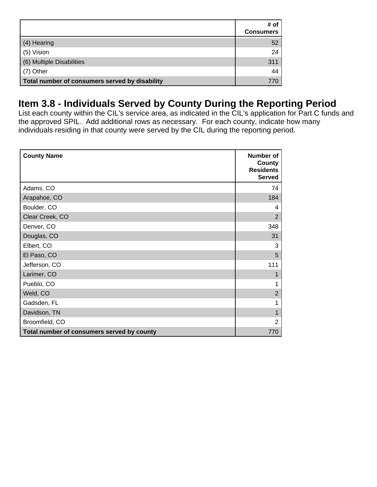|                                                | # of<br><b>Consumers</b> |
|------------------------------------------------|--------------------------|
| (4) Hearing                                    | 52                       |
| (5) Vision                                     | 24                       |
| (6) Multiple Disabilities                      | 311                      |
| (7) Other                                      | 44                       |
| Total number of consumers served by disability | 770                      |

## **Item 3.8 - Individuals Served by County During the Reporting Period**

List each county within the CIL's service area, as indicated in the CIL's application for Part C funds and the approved SPIL. Add additional rows as necessary. For each county, indicate how many individuals residing in that county were served by the CIL during the reporting period.

| <b>County Name</b>                         | Number of<br>County<br><b>Residents</b><br><b>Served</b> |
|--------------------------------------------|----------------------------------------------------------|
| Adams, CO                                  | 74                                                       |
| Arapahoe, CO                               | 184                                                      |
| Boulder, CO                                | 4                                                        |
| Clear Creek, CO                            | $\overline{2}$                                           |
| Denver, CO                                 | 348                                                      |
| Douglas, CO                                | 31                                                       |
| Elbert, CO                                 | 3                                                        |
| El Paso, CO                                | 5                                                        |
| Jefferson, CO                              | 111                                                      |
| Larimer, CO                                |                                                          |
| Pueblo, CO                                 |                                                          |
| Weld, CO                                   | $\overline{2}$                                           |
| Gadsden, FL                                |                                                          |
| Davidson, TN                               |                                                          |
| Broomfield, CO                             | $\overline{2}$                                           |
| Total number of consumers served by county | 770                                                      |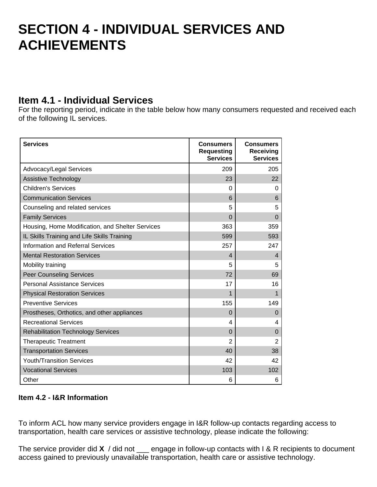## **SECTION 4 - INDIVIDUAL SERVICES AND ACHIEVEMENTS**

## **Item 4.1 - Individual Services**

For the reporting period, indicate in the table below how many consumers requested and received each of the following IL services.

| <b>Services</b>                                  | <b>Consumers</b><br><b>Requesting</b><br><b>Services</b> | <b>Consumers</b><br>Receiving<br><b>Services</b> |
|--------------------------------------------------|----------------------------------------------------------|--------------------------------------------------|
| Advocacy/Legal Services                          | 209                                                      | 205                                              |
| Assistive Technology                             | 23                                                       | 22                                               |
| <b>Children's Services</b>                       | 0                                                        | 0                                                |
| <b>Communication Services</b>                    | 6                                                        | 6                                                |
| Counseling and related services                  | 5                                                        | 5                                                |
| <b>Family Services</b>                           | $\Omega$                                                 | 0                                                |
| Housing, Home Modification, and Shelter Services | 363                                                      | 359                                              |
| IL Skills Training and Life Skills Training      | 599                                                      | 593                                              |
| <b>Information and Referral Services</b>         | 257                                                      | 247                                              |
| <b>Mental Restoration Services</b>               | $\overline{\mathcal{L}}$                                 | $\overline{4}$                                   |
| Mobility training                                | 5                                                        | 5                                                |
| <b>Peer Counseling Services</b>                  | 72                                                       | 69                                               |
| Personal Assistance Services                     | 17                                                       | 16                                               |
| <b>Physical Restoration Services</b>             | 1                                                        | 1                                                |
| <b>Preventive Services</b>                       | 155                                                      | 149                                              |
| Prostheses, Orthotics, and other appliances      | 0                                                        | $\Omega$                                         |
| <b>Recreational Services</b>                     | 4                                                        | 4                                                |
| <b>Rehabilitation Technology Services</b>        | $\overline{0}$                                           | $\Omega$                                         |
| <b>Therapeutic Treatment</b>                     | $\overline{2}$                                           | $\overline{2}$                                   |
| <b>Transportation Services</b>                   | 40                                                       | 38                                               |
| <b>Youth/Transition Services</b>                 | 42                                                       | 42                                               |
| <b>Vocational Services</b>                       | 103                                                      | 102                                              |
| Other                                            | 6                                                        | 6                                                |

#### **Item 4.2 - I&R Information**

To inform ACL how many service providers engage in I&R follow-up contacts regarding access to transportation, health care services or assistive technology, please indicate the following:

The service provider did **X** / did not \_\_\_ engage in follow-up contacts with I & R recipients to document access gained to previously unavailable transportation, health care or assistive technology.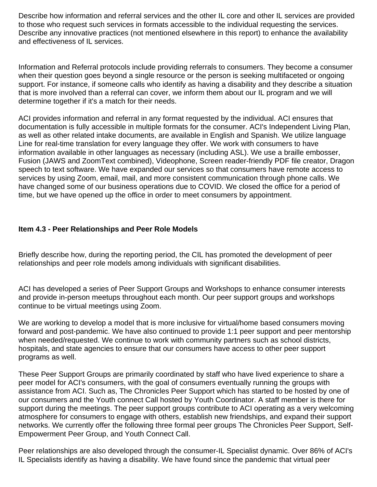Describe how information and referral services and the other IL core and other IL services are provided to those who request such services in formats accessible to the individual requesting the services. Describe any innovative practices (not mentioned elsewhere in this report) to enhance the availability and effectiveness of IL services.

Information and Referral protocols include providing referrals to consumers. They become a consumer when their question goes beyond a single resource or the person is seeking multifaceted or ongoing support. For instance, if someone calls who identify as having a disability and they describe a situation that is more involved than a referral can cover, we inform them about our IL program and we will determine together if it's a match for their needs.

ACI provides information and referral in any format requested by the individual. ACI ensures that documentation is fully accessible in multiple formats for the consumer. ACI's Independent Living Plan, as well as other related intake documents, are available in English and Spanish. We utilize language Line for real-time translation for every language they offer. We work with consumers to have information available in other languages as necessary (including ASL). We use a braille embosser, Fusion (JAWS and ZoomText combined), Videophone, Screen reader-friendly PDF file creator, Dragon speech to text software. We have expanded our services so that consumers have remote access to services by using Zoom, email, mail, and more consistent communication through phone calls. We have changed some of our business operations due to COVID. We closed the office for a period of time, but we have opened up the office in order to meet consumers by appointment.

#### **Item 4.3 - Peer Relationships and Peer Role Models**

Briefly describe how, during the reporting period, the CIL has promoted the development of peer relationships and peer role models among individuals with significant disabilities.

ACI has developed a series of Peer Support Groups and Workshops to enhance consumer interests and provide in-person meetups throughout each month. Our peer support groups and workshops continue to be virtual meetings using Zoom.

We are working to develop a model that is more inclusive for virtual/home based consumers moving forward and post-pandemic. We have also continued to provide 1:1 peer support and peer mentorship when needed/requested. We continue to work with community partners such as school districts, hospitals, and state agencies to ensure that our consumers have access to other peer support programs as well.

These Peer Support Groups are primarily coordinated by staff who have lived experience to share a peer model for ACI's consumers, with the goal of consumers eventually running the groups with assistance from ACI. Such as, The Chronicles Peer Support which has started to be hosted by one of our consumers and the Youth connect Call hosted by Youth Coordinator. A staff member is there for support during the meetings. The peer support groups contribute to ACI operating as a very welcoming atmosphere for consumers to engage with others, establish new friendships, and expand their support networks. We currently offer the following three formal peer groups The Chronicles Peer Support, Self-Empowerment Peer Group, and Youth Connect Call.

Peer relationships are also developed through the consumer-IL Specialist dynamic. Over 86% of ACI's IL Specialists identify as having a disability. We have found since the pandemic that virtual peer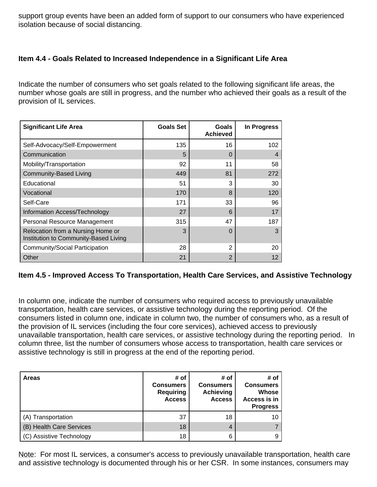support group events have been an added form of support to our consumers who have experienced isolation because of social distancing.

#### **Item 4.4 - Goals Related to Increased Independence in a Significant Life Area**

Indicate the number of consumers who set goals related to the following significant life areas, the number whose goals are still in progress, and the number who achieved their goals as a result of the provision of IL services.

| <b>Significant Life Area</b>                                               | <b>Goals Set</b> | <b>Goals</b><br><b>Achieved</b> | In Progress |
|----------------------------------------------------------------------------|------------------|---------------------------------|-------------|
| Self-Advocacy/Self-Empowerment                                             | 135              | 16                              | 102         |
| Communication                                                              | 5                | 0                               | 4           |
| Mobility/Transportation                                                    | 92               | 11                              | 58          |
| <b>Community-Based Living</b>                                              | 449              | 81                              | 272         |
| Educational                                                                | 51               | 3                               | 30          |
| Vocational                                                                 | 170              | 8                               | 120         |
| Self-Care                                                                  | 171              | 33                              | 96          |
| Information Access/Technology                                              | 27               | 6                               | 17          |
| Personal Resource Management                                               | 315              | 47                              | 187         |
| Relocation from a Nursing Home or<br>Institution to Community-Based Living | 3                | $\Omega$                        | 3           |
| Community/Social Participation                                             | 28               | 2                               | 20          |
| Other                                                                      | 21               | 2                               | 12          |

#### **Item 4.5 - Improved Access To Transportation, Health Care Services, and Assistive Technology**

In column one, indicate the number of consumers who required access to previously unavailable transportation, health care services, or assistive technology during the reporting period. Of the consumers listed in column one, indicate in column two, the number of consumers who, as a result of the provision of IL services (including the four core services), achieved access to previously unavailable transportation, health care services, or assistive technology during the reporting period. In column three, list the number of consumers whose access to transportation, health care services or assistive technology is still in progress at the end of the reporting period.

| <b>Areas</b>             | # of<br><b>Consumers</b><br><b>Requiring</b><br><b>Access</b> | # of<br><b>Consumers</b><br><b>Achieving</b><br><b>Access</b> | # of<br><b>Consumers</b><br><b>Whose</b><br>Access is in<br><b>Progress</b> |
|--------------------------|---------------------------------------------------------------|---------------------------------------------------------------|-----------------------------------------------------------------------------|
| (A) Transportation       | 37                                                            | 18                                                            | 1 C                                                                         |
| (B) Health Care Services | 18                                                            | 4                                                             |                                                                             |
| (C) Assistive Technology | 18                                                            | 6                                                             |                                                                             |

Note: For most IL services, a consumer's access to previously unavailable transportation, health care and assistive technology is documented through his or her CSR. In some instances, consumers may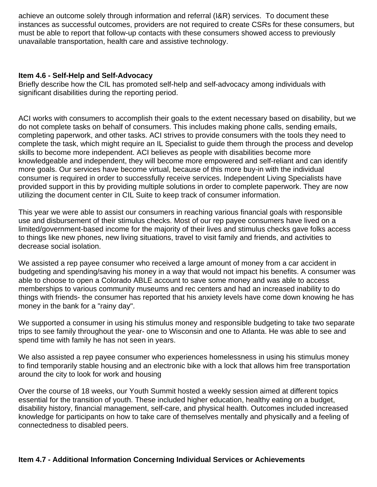achieve an outcome solely through information and referral (I&R) services. To document these instances as successful outcomes, providers are not required to create CSRs for these consumers, but must be able to report that follow-up contacts with these consumers showed access to previously unavailable transportation, health care and assistive technology.

#### **Item 4.6 - Self-Help and Self-Advocacy**

Briefly describe how the CIL has promoted self-help and self-advocacy among individuals with significant disabilities during the reporting period.

ACI works with consumers to accomplish their goals to the extent necessary based on disability, but we do not complete tasks on behalf of consumers. This includes making phone calls, sending emails, completing paperwork, and other tasks. ACI strives to provide consumers with the tools they need to complete the task, which might require an IL Specialist to guide them through the process and develop skills to become more independent. ACI believes as people with disabilities become more knowledgeable and independent, they will become more empowered and self-reliant and can identify more goals. Our services have become virtual, because of this more buy-in with the individual consumer is required in order to successfully receive services. Independent Living Specialists have provided support in this by providing multiple solutions in order to complete paperwork. They are now utilizing the document center in CIL Suite to keep track of consumer information.

This year we were able to assist our consumers in reaching various financial goals with responsible use and disbursement of their stimulus checks. Most of our rep payee consumers have lived on a limited/government-based income for the majority of their lives and stimulus checks gave folks access to things like new phones, new living situations, travel to visit family and friends, and activities to decrease social isolation.

We assisted a rep payee consumer who received a large amount of money from a car accident in budgeting and spending/saving his money in a way that would not impact his benefits. A consumer was able to choose to open a Colorado ABLE account to save some money and was able to access memberships to various community museums and rec centers and had an increased inability to do things with friends- the consumer has reported that his anxiety levels have come down knowing he has money in the bank for a "rainy day".

We supported a consumer in using his stimulus money and responsible budgeting to take two separate trips to see family throughout the year- one to Wisconsin and one to Atlanta. He was able to see and spend time with family he has not seen in years.

We also assisted a rep payee consumer who experiences homelessness in using his stimulus money to find temporarily stable housing and an electronic bike with a lock that allows him free transportation around the city to look for work and housing

Over the course of 18 weeks, our Youth Summit hosted a weekly session aimed at different topics essential for the transition of youth. These included higher education, healthy eating on a budget, disability history, financial management, self-care, and physical health. Outcomes included increased knowledge for participants on how to take care of themselves mentally and physically and a feeling of connectedness to disabled peers.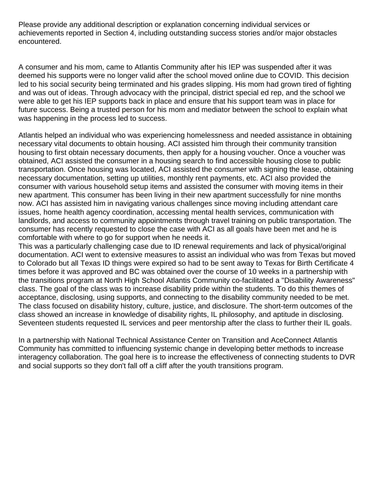Please provide any additional description or explanation concerning individual services or achievements reported in Section 4, including outstanding success stories and/or major obstacles encountered.

A consumer and his mom, came to Atlantis Community after his IEP was suspended after it was deemed his supports were no longer valid after the school moved online due to COVID. This decision led to his social security being terminated and his grades slipping. His mom had grown tired of fighting and was out of ideas. Through advocacy with the principal, district special ed rep, and the school we were able to get his IEP supports back in place and ensure that his support team was in place for future success. Being a trusted person for his mom and mediator between the school to explain what was happening in the process led to success.

Atlantis helped an individual who was experiencing homelessness and needed assistance in obtaining necessary vital documents to obtain housing. ACI assisted him through their community transition housing to first obtain necessary documents, then apply for a housing voucher. Once a voucher was obtained, ACI assisted the consumer in a housing search to find accessible housing close to public transportation. Once housing was located, ACI assisted the consumer with signing the lease, obtaining necessary documentation, setting up utilities, monthly rent payments, etc. ACI also provided the consumer with various household setup items and assisted the consumer with moving items in their new apartment. This consumer has been living in their new apartment successfully for nine months now. ACI has assisted him in navigating various challenges since moving including attendant care issues, home health agency coordination, accessing mental health services, communication with landlords, and access to community appointments through travel training on public transportation. The consumer has recently requested to close the case with ACI as all goals have been met and he is comfortable with where to go for support when he needs it.

This was a particularly challenging case due to ID renewal requirements and lack of physical/original documentation. ACI went to extensive measures to assist an individual who was from Texas but moved to Colorado but all Texas ID things were expired so had to be sent away to Texas for Birth Certificate 4 times before it was approved and BC was obtained over the course of 10 weeks in a partnership with the transitions program at North High School Atlantis Community co-facilitated a "Disability Awareness" class. The goal of the class was to increase disability pride within the students. To do this themes of acceptance, disclosing, using supports, and connecting to the disability community needed to be met. The class focused on disability history, culture, justice, and disclosure. The short-term outcomes of the class showed an increase in knowledge of disability rights, IL philosophy, and aptitude in disclosing. Seventeen students requested IL services and peer mentorship after the class to further their IL goals.

In a partnership with National Technical Assistance Center on Transition and AceConnect Atlantis Community has committed to influencing systemic change in developing better methods to increase interagency collaboration. The goal here is to increase the effectiveness of connecting students to DVR and social supports so they don't fall off a cliff after the youth transitions program.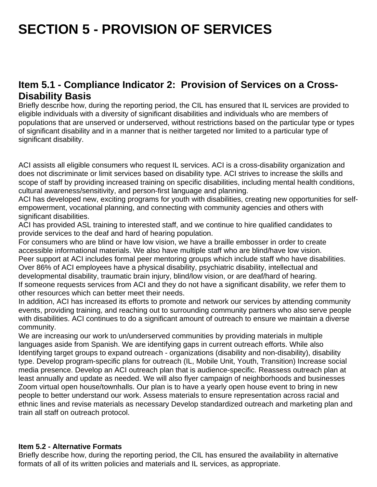# **SECTION 5 - PROVISION OF SERVICES**

## **Item 5.1 - Compliance Indicator 2: Provision of Services on a Cross-Disability Basis**

Briefly describe how, during the reporting period, the CIL has ensured that IL services are provided to eligible individuals with a diversity of significant disabilities and individuals who are members of populations that are unserved or underserved, without restrictions based on the particular type or types of significant disability and in a manner that is neither targeted nor limited to a particular type of significant disability.

ACI assists all eligible consumers who request IL services. ACI is a cross-disability organization and does not discriminate or limit services based on disability type. ACI strives to increase the skills and scope of staff by providing increased training on specific disabilities, including mental health conditions, cultural awareness/sensitivity, and person-first language and planning.

ACI has developed new, exciting programs for youth with disabilities, creating new opportunities for selfempowerment, vocational planning, and connecting with community agencies and others with significant disabilities.

ACI has provided ASL training to interested staff, and we continue to hire qualified candidates to provide services to the deaf and hard of hearing population.

For consumers who are blind or have low vision, we have a braille embosser in order to create accessible informational materials. We also have multiple staff who are blind/have low vision. Peer support at ACI includes formal peer mentoring groups which include staff who have disabilities. Over 86% of ACI employees have a physical disability, psychiatric disability, intellectual and developmental disability, traumatic brain injury, blind/low vision, or are deaf/hard of hearing. If someone requests services from ACI and they do not have a significant disability, we refer them to other resources which can better meet their needs.

In addition, ACI has increased its efforts to promote and network our services by attending community events, providing training, and reaching out to surrounding community partners who also serve people with disabilities. ACI continues to do a significant amount of outreach to ensure we maintain a diverse community.

We are increasing our work to un/underserved communities by providing materials in multiple languages aside from Spanish. We are identifying gaps in current outreach efforts. While also Identifying target groups to expand outreach - organizations (disability and non-disability), disability type. Develop program-specific plans for outreach (IL, Mobile Unit, Youth, Transition) Increase social media presence. Develop an ACI outreach plan that is audience-specific. Reassess outreach plan at least annually and update as needed. We will also flyer campaign of neighborhoods and businesses Zoom virtual open house/townhalls. Our plan is to have a yearly open house event to bring in new people to better understand our work. Assess materials to ensure representation across racial and ethnic lines and revise materials as necessary Develop standardized outreach and marketing plan and train all staff on outreach protocol.

#### **Item 5.2 - Alternative Formats**

Briefly describe how, during the reporting period, the CIL has ensured the availability in alternative formats of all of its written policies and materials and IL services, as appropriate.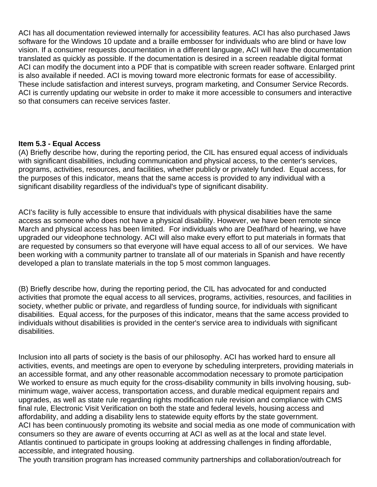ACI has all documentation reviewed internally for accessibility features. ACI has also purchased Jaws software for the Windows 10 update and a braille embosser for individuals who are blind or have low vision. If a consumer requests documentation in a different language, ACI will have the documentation translated as quickly as possible. If the documentation is desired in a screen readable digital format ACI can modify the document into a PDF that is compatible with screen reader software. Enlarged print is also available if needed. ACI is moving toward more electronic formats for ease of accessibility. These include satisfaction and interest surveys, program marketing, and Consumer Service Records. ACI is currently updating our website in order to make it more accessible to consumers and interactive so that consumers can receive services faster.

#### **Item 5.3 - Equal Access**

(A) Briefly describe how, during the reporting period, the CIL has ensured equal access of individuals with significant disabilities, including communication and physical access, to the center's services, programs, activities, resources, and facilities, whether publicly or privately funded. Equal access, for the purposes of this indicator, means that the same access is provided to any individual with a significant disability regardless of the individual's type of significant disability.

ACI's facility is fully accessible to ensure that individuals with physical disabilities have the same access as someone who does not have a physical disability. However, we have been remote since March and physical access has been limited. For individuals who are Deaf/hard of hearing, we have upgraded our videophone technology. ACI will also make every effort to put materials in formats that are requested by consumers so that everyone will have equal access to all of our services. We have been working with a community partner to translate all of our materials in Spanish and have recently developed a plan to translate materials in the top 5 most common languages.

(B) Briefly describe how, during the reporting period, the CIL has advocated for and conducted activities that promote the equal access to all services, programs, activities, resources, and facilities in society, whether public or private, and regardless of funding source, for individuals with significant disabilities. Equal access, for the purposes of this indicator, means that the same access provided to individuals without disabilities is provided in the center's service area to individuals with significant disabilities.

Inclusion into all parts of society is the basis of our philosophy. ACI has worked hard to ensure all activities, events, and meetings are open to everyone by scheduling interpreters, providing materials in an accessible format, and any other reasonable accommodation necessary to promote participation We worked to ensure as much equity for the cross-disability community in bills involving housing, subminimum wage, waiver access, transportation access, and durable medical equipment repairs and upgrades, as well as state rule regarding rights modification rule revision and compliance with CMS final rule, Electronic Visit Verification on both the state and federal levels, housing access and affordability, and adding a disability lens to statewide equity efforts by the state government. ACI has been continuously promoting its website and social media as one mode of communication with consumers so they are aware of events occurring at ACI as well as at the local and state level. Atlantis continued to participate in groups looking at addressing challenges in finding affordable, accessible, and integrated housing.

The youth transition program has increased community partnerships and collaboration/outreach for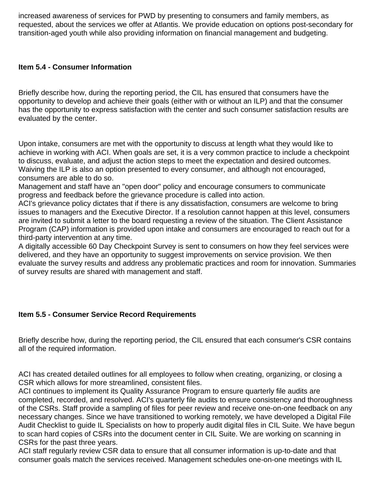increased awareness of services for PWD by presenting to consumers and family members, as requested, about the services we offer at Atlantis. We provide education on options post-secondary for transition-aged youth while also providing information on financial management and budgeting.

#### **Item 5.4 - Consumer Information**

Briefly describe how, during the reporting period, the CIL has ensured that consumers have the opportunity to develop and achieve their goals (either with or without an ILP) and that the consumer has the opportunity to express satisfaction with the center and such consumer satisfaction results are evaluated by the center.

Upon intake, consumers are met with the opportunity to discuss at length what they would like to achieve in working with ACI. When goals are set, it is a very common practice to include a checkpoint to discuss, evaluate, and adjust the action steps to meet the expectation and desired outcomes. Waiving the ILP is also an option presented to every consumer, and although not encouraged, consumers are able to do so.

Management and staff have an "open door" policy and encourage consumers to communicate progress and feedback before the grievance procedure is called into action.

ACI's grievance policy dictates that if there is any dissatisfaction, consumers are welcome to bring issues to managers and the Executive Director. If a resolution cannot happen at this level, consumers are invited to submit a letter to the board requesting a review of the situation. The Client Assistance Program (CAP) information is provided upon intake and consumers are encouraged to reach out for a third-party intervention at any time.

A digitally accessible 60 Day Checkpoint Survey is sent to consumers on how they feel services were delivered, and they have an opportunity to suggest improvements on service provision. We then evaluate the survey results and address any problematic practices and room for innovation. Summaries of survey results are shared with management and staff.

#### **Item 5.5 - Consumer Service Record Requirements**

Briefly describe how, during the reporting period, the CIL ensured that each consumer's CSR contains all of the required information.

ACI has created detailed outlines for all employees to follow when creating, organizing, or closing a CSR which allows for more streamlined, consistent files.

ACI continues to implement its Quality Assurance Program to ensure quarterly file audits are completed, recorded, and resolved. ACI's quarterly file audits to ensure consistency and thoroughness of the CSRs. Staff provide a sampling of files for peer review and receive one-on-one feedback on any necessary changes. Since we have transitioned to working remotely, we have developed a Digital File Audit Checklist to guide IL Specialists on how to properly audit digital files in CIL Suite. We have begun to scan hard copies of CSRs into the document center in CIL Suite. We are working on scanning in CSRs for the past three years.

ACI staff regularly review CSR data to ensure that all consumer information is up-to-date and that consumer goals match the services received. Management schedules one-on-one meetings with IL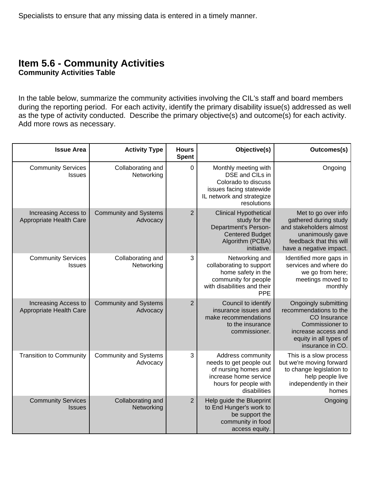#### **Item 5.6 - Community Activities Community Activities Table**

In the table below, summarize the community activities involving the CIL's staff and board members during the reporting period. For each activity, identify the primary disability issue(s) addressed as well as the type of activity conducted. Describe the primary objective(s) and outcome(s) for each activity. Add more rows as necessary.

| Outcomes(s)                                                                                                                                            | Objective(s)                                                                                                                           | <b>Hours</b><br><b>Spent</b> | <b>Activity Type</b>                     | <b>Issue Area</b>                               |
|--------------------------------------------------------------------------------------------------------------------------------------------------------|----------------------------------------------------------------------------------------------------------------------------------------|------------------------------|------------------------------------------|-------------------------------------------------|
| Ongoing                                                                                                                                                | Monthly meeting with<br>DSE and CILs in<br>Colorado to discuss<br>issues facing statewide<br>IL network and strategize<br>resolutions  | $\mathbf 0$                  | Collaborating and<br>Networking          | <b>Community Services</b><br><b>Issues</b>      |
| Met to go over info<br>gathered during study<br>and stakeholders almost<br>unanimously gave<br>feedback that this will<br>have a negative impact.      | <b>Clinical Hypothetical</b><br>study for the<br>Department's Person-<br><b>Centered Budget</b><br>Algorithm (PCBA)<br>initiative.     | $\overline{2}$               | <b>Community and Systems</b><br>Advocacy | Increasing Access to<br>Appropriate Health Care |
| Identified more gaps in<br>services and where do<br>we go from here;<br>meetings moved to<br>monthly                                                   | Networking and<br>collaborating to support<br>home safety in the<br>community for people<br>with disabilities and their<br><b>PPE</b>  | 3                            | Collaborating and<br>Networking          | <b>Community Services</b><br>Issues             |
| Ongoingly submitting<br>recommendations to the<br>CO Insurance<br>Commissioner to<br>increase access and<br>equity in all types of<br>insurance in CO. | Council to identify<br>insurance issues and<br>make recommendations<br>to the insurance<br>commissioner.                               | $\overline{2}$               | <b>Community and Systems</b><br>Advocacy | Increasing Access to<br>Appropriate Health Care |
| This is a slow process<br>but we're moving forward<br>to change legislation to<br>help people live<br>independently in their<br>homes                  | Address community<br>needs to get people out<br>of nursing homes and<br>increase home service<br>hours for people with<br>disabilities | 3                            | <b>Community and Systems</b><br>Advocacy | <b>Transition to Community</b>                  |
| Ongoing                                                                                                                                                | Help guide the Blueprint<br>to End Hunger's work to<br>be support the<br>community in food<br>access equity.                           | $\overline{2}$               | Collaborating and<br>Networking          | <b>Community Services</b><br><b>Issues</b>      |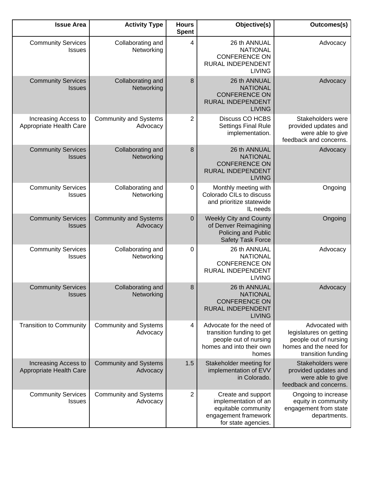| <b>Issue Area</b>                               | <b>Activity Type</b>                     | <b>Hours</b><br><b>Spent</b> | Objective(s)                                                                                                        | Outcomes(s)                                                                                                        |
|-------------------------------------------------|------------------------------------------|------------------------------|---------------------------------------------------------------------------------------------------------------------|--------------------------------------------------------------------------------------------------------------------|
| <b>Community Services</b><br><b>Issues</b>      | Collaborating and<br>Networking          | 4                            | 26 th ANNUAL<br><b>NATIONAL</b><br><b>CONFERENCE ON</b><br><b>RURAL INDEPENDENT</b><br><b>LIVING</b>                | Advocacy                                                                                                           |
| <b>Community Services</b><br><b>Issues</b>      | Collaborating and<br>Networking          | 8                            | 26 th ANNUAL<br><b>NATIONAL</b><br><b>CONFERENCE ON</b><br><b>RURAL INDEPENDENT</b><br><b>LIVING</b>                | Advocacy                                                                                                           |
| Increasing Access to<br>Appropriate Health Care | <b>Community and Systems</b><br>Advocacy | 2                            | <b>Discuss CO HCBS</b><br><b>Settings Final Rule</b><br>implementation.                                             | Stakeholders were<br>provided updates and<br>were able to give<br>feedback and concerns.                           |
| <b>Community Services</b><br><b>Issues</b>      | Collaborating and<br>Networking          | 8                            | 26 th ANNUAL<br><b>NATIONAL</b><br><b>CONFERENCE ON</b><br>RURAL INDEPENDENT<br><b>LIVING</b>                       | Advocacy                                                                                                           |
| <b>Community Services</b><br>Issues             | Collaborating and<br>Networking          | $\pmb{0}$                    | Monthly meeting with<br>Colorado CILs to discuss<br>and prioritize statewide<br>IL needs                            | Ongoing                                                                                                            |
| <b>Community Services</b><br><b>Issues</b>      | <b>Community and Systems</b><br>Advocacy | $\mathbf 0$                  | <b>Weekly City and County</b><br>of Denver Reimagining<br>Policing and Public<br>Safety Task Force                  | Ongoing                                                                                                            |
| <b>Community Services</b><br><b>Issues</b>      | Collaborating and<br>Networking          | 0                            | 26 th ANNUAL<br><b>NATIONAL</b><br><b>CONFERENCE ON</b><br>RURAL INDEPENDENT<br><b>LIVING</b>                       | Advocacy                                                                                                           |
| <b>Community Services</b><br><b>Issues</b>      | Collaborating and<br>Networking          | 8                            | 26 th ANNUAL<br><b>NATIONAL</b><br><b>CONFERENCE ON</b><br><b>RURAL INDEPENDENT</b><br><b>LIVING</b>                | Advocacy                                                                                                           |
| <b>Transition to Community</b>                  | <b>Community and Systems</b><br>Advocacy | 4                            | Advocate for the need of<br>transition funding to get<br>people out of nursing<br>homes and into their own<br>homes | Advocated with<br>legislatures on getting<br>people out of nursing<br>homes and the need for<br>transition funding |
| Increasing Access to<br>Appropriate Health Care | <b>Community and Systems</b><br>Advocacy | 1.5                          | Stakeholder meeting for<br>implementation of EVV<br>in Colorado.                                                    | Stakeholders were<br>provided updates and<br>were able to give<br>feedback and concerns.                           |
| <b>Community Services</b><br><b>Issues</b>      | <b>Community and Systems</b><br>Advocacy | 2                            | Create and support<br>implementation of an<br>equitable community<br>engagement framework<br>for state agencies.    | Ongoing to increase<br>equity in community<br>engagement from state<br>departments.                                |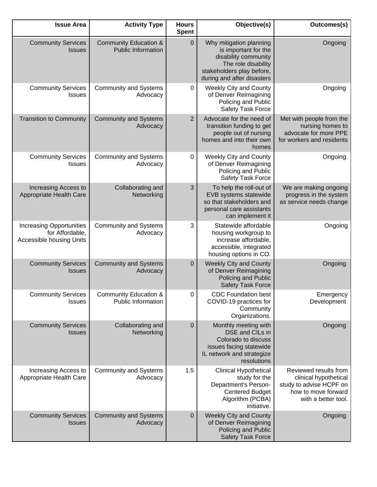| Outcomes(s)                                                                                                             | Objective(s)                                                                                                                                              | <b>Hours</b><br><b>Spent</b> | <b>Activity Type</b>                                          | <b>Issue Area</b>                                                              |
|-------------------------------------------------------------------------------------------------------------------------|-----------------------------------------------------------------------------------------------------------------------------------------------------------|------------------------------|---------------------------------------------------------------|--------------------------------------------------------------------------------|
| Ongoing                                                                                                                 | Why mitigation planning<br>is important for the<br>disability community<br>The role disability<br>stakeholders play before,<br>during and after disasters | $\pmb{0}$                    | <b>Community Education &amp;</b><br><b>Public Information</b> | <b>Community Services</b><br><b>Issues</b>                                     |
| Ongoing                                                                                                                 | <b>Weekly City and County</b><br>of Denver Reimagining<br>Policing and Public<br>Safety Task Force                                                        | $\pmb{0}$                    | <b>Community and Systems</b><br>Advocacy                      | <b>Community Services</b><br>Issues                                            |
| Met with people from the<br>nursing homes to<br>advocate for more PPE<br>for workers and residents                      | Advocate for the need of<br>transition funding to get<br>people out of nursing<br>homes and into their own<br>homes                                       | $\overline{2}$               | <b>Community and Systems</b><br>Advocacy                      | <b>Transition to Community</b>                                                 |
| Ongoing                                                                                                                 | <b>Weekly City and County</b><br>of Denver Reimagining<br>Policing and Public<br>Safety Task Force                                                        | 0                            | <b>Community and Systems</b><br>Advocacy                      | <b>Community Services</b><br><b>Issues</b>                                     |
| We are making ongoing<br>progress in the system<br>as service needs change                                              | To help the roll-out of<br>EVB systems statewide<br>so that stakeholders and<br>personal care assistants<br>can implement it                              | 3                            | Collaborating and<br>Networking                               | Increasing Access to<br>Appropriate Health Care                                |
| Ongoing                                                                                                                 | Statewide affordable<br>housing workgroup to<br>increase affordable,<br>accessible, integrated<br>housing options in CO.                                  | 3                            | <b>Community and Systems</b><br>Advocacy                      | <b>Increasing Opportunities</b><br>for Affordable,<br>Accessible housing Units |
| Ongoing                                                                                                                 | <b>Weekly City and County</b><br>of Denver Reimagining<br>Policing and Public<br><b>Safety Task Force</b>                                                 | $\mathbf 0$                  | <b>Community and Systems</b><br>Advocacy                      | <b>Community Services</b><br><b>Issues</b>                                     |
| Emergency<br>Development                                                                                                | <b>CDC Foundation best</b><br>COVID-19 practices for<br>Community<br>Organizations.                                                                       | $\pmb{0}$                    | <b>Community Education &amp;</b><br>Public Information        | <b>Community Services</b><br><b>Issues</b>                                     |
| Ongoing                                                                                                                 | Monthly meeting with<br>DSE and CILs in<br>Colorado to discuss<br>issues facing statewide<br>IL network and strategize<br>resolutions                     | $\mathbf 0$                  | Collaborating and<br>Networking                               | <b>Community Services</b><br><b>Issues</b>                                     |
| Reviewed results from<br>clinical hypothetical<br>study to advise HCPF on<br>how to move forward<br>with a better tool. | <b>Clinical Hypothetical</b><br>study for the<br>Department's Person-<br><b>Centered Budget</b><br>Algorithm (PCBA)<br>initiative.                        | 1.5                          | <b>Community and Systems</b><br>Advocacy                      | Increasing Access to<br>Appropriate Health Care                                |
| Ongoing                                                                                                                 | <b>Weekly City and County</b><br>of Denver Reimagining<br>Policing and Public<br>Safety Task Force                                                        | $\pmb{0}$                    | <b>Community and Systems</b><br>Advocacy                      | <b>Community Services</b><br><b>Issues</b>                                     |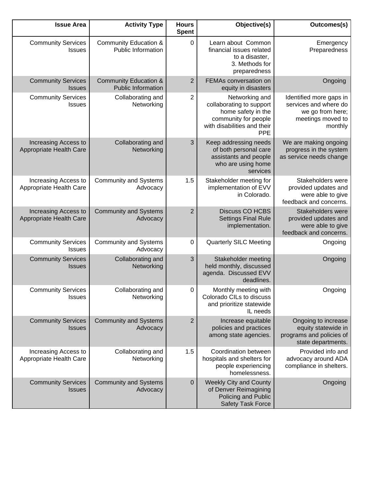| <b>Issue Area</b>                               | <b>Activity Type</b>                                          | <b>Hours</b><br><b>Spent</b> | Objective(s)                                                                                                                          | Outcomes(s)                                                                                          |
|-------------------------------------------------|---------------------------------------------------------------|------------------------------|---------------------------------------------------------------------------------------------------------------------------------------|------------------------------------------------------------------------------------------------------|
| <b>Community Services</b><br><b>Issues</b>      | <b>Community Education &amp;</b><br><b>Public Information</b> | $\mathbf 0$                  | Learn about Common<br>financial issues related<br>to a disaster,<br>3. Methods for<br>preparedness                                    | Emergency<br>Preparedness                                                                            |
| <b>Community Services</b><br><b>Issues</b>      | <b>Community Education &amp;</b><br><b>Public Information</b> | $\overline{2}$               | FEMAs conversation on<br>equity in disasters                                                                                          | Ongoing                                                                                              |
| <b>Community Services</b><br><b>Issues</b>      | Collaborating and<br>Networking                               | $\overline{2}$               | Networking and<br>collaborating to support<br>home safety in the<br>community for people<br>with disabilities and their<br><b>PPE</b> | Identified more gaps in<br>services and where do<br>we go from here;<br>meetings moved to<br>monthly |
| Increasing Access to<br>Appropriate Health Care | Collaborating and<br>Networking                               | 3                            | Keep addressing needs<br>of both personal care<br>assistants and people<br>who are using home<br>services                             | We are making ongoing<br>progress in the system<br>as service needs change                           |
| Increasing Access to<br>Appropriate Health Care | <b>Community and Systems</b><br>Advocacy                      | 1.5                          | Stakeholder meeting for<br>implementation of EVV<br>in Colorado.                                                                      | Stakeholders were<br>provided updates and<br>were able to give<br>feedback and concerns.             |
| Increasing Access to<br>Appropriate Health Care | <b>Community and Systems</b><br>Advocacy                      | $\overline{2}$               | Discuss CO HCBS<br><b>Settings Final Rule</b><br>implementation.                                                                      | Stakeholders were<br>provided updates and<br>were able to give<br>feedback and concerns.             |
| <b>Community Services</b><br><b>Issues</b>      | <b>Community and Systems</b><br>Advocacy                      | 0                            | <b>Quarterly SILC Meeting</b>                                                                                                         | Ongoing                                                                                              |
| <b>Community Services</b><br><b>Issues</b>      | Collaborating and<br>Networking                               | 3                            | Stakeholder meeting<br>held monthly, discussed<br>agenda. Discussed EVV<br>deadlines.                                                 | Ongoing                                                                                              |
| <b>Community Services</b><br><b>Issues</b>      | Collaborating and<br>Networking                               | 0                            | Monthly meeting with<br>Colorado CILs to discuss<br>and prioritize statewide<br>IL needs                                              | Ongoing                                                                                              |
| <b>Community Services</b><br><b>Issues</b>      | <b>Community and Systems</b><br>Advocacy                      | $\overline{2}$               | Increase equitable<br>policies and practices<br>among state agencies.                                                                 | Ongoing to increase<br>equity statewide in<br>programs and policies of<br>state departments.         |
| Increasing Access to<br>Appropriate Health Care | Collaborating and<br>Networking                               | 1.5                          | Coordination between<br>hospitals and shelters for<br>people experiencing<br>homelessness.                                            | Provided info and<br>advocacy around ADA<br>compliance in shelters.                                  |
| <b>Community Services</b><br><b>Issues</b>      | <b>Community and Systems</b><br>Advocacy                      | $\pmb{0}$                    | <b>Weekly City and County</b><br>of Denver Reimagining<br>Policing and Public<br>Safety Task Force                                    | Ongoing                                                                                              |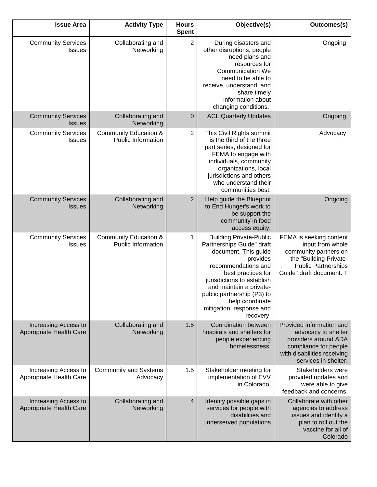| Outcomes(s)                                                                                                                                              | Objective(s)                                                                                                                                                                                                                                                                                    | <b>Hours</b><br><b>Spent</b> | <b>Activity Type</b>                                          | <b>Issue Area</b>                               |
|----------------------------------------------------------------------------------------------------------------------------------------------------------|-------------------------------------------------------------------------------------------------------------------------------------------------------------------------------------------------------------------------------------------------------------------------------------------------|------------------------------|---------------------------------------------------------------|-------------------------------------------------|
| Ongoing                                                                                                                                                  | During disasters and<br>other disruptions, people<br>need plans and<br>resources for<br><b>Communication We</b><br>need to be able to<br>receive, understand, and<br>share timely<br>information about<br>changing conditions.                                                                  | $\overline{2}$               | Collaborating and<br>Networking                               | <b>Community Services</b><br><b>Issues</b>      |
| Ongoing                                                                                                                                                  | <b>ACL Quarterly Updates</b>                                                                                                                                                                                                                                                                    | $\mathbf 0$                  | Collaborating and<br>Networking                               | <b>Community Services</b><br><b>Issues</b>      |
| Advocacy                                                                                                                                                 | This Civil Rights summit<br>is the third of the three<br>part series, designed for<br>FEMA to engage with<br>individuals, community<br>organizations, local<br>jurisdictions and others<br>who understand their<br>communities best.                                                            | $\overline{2}$               | <b>Community Education &amp;</b><br><b>Public Information</b> | <b>Community Services</b><br><b>Issues</b>      |
| Ongoing                                                                                                                                                  | Help guide the Blueprint<br>to End Hunger's work to<br>be support the<br>community in food<br>access equity.                                                                                                                                                                                    | $\overline{c}$               | Collaborating and<br>Networking                               | <b>Community Services</b><br><b>Issues</b>      |
| FEMA is seeking content<br>input from whole<br>community partners on<br>the "Building Private-<br><b>Public Partnerships</b><br>Guide" draft document. T | <b>Building Private-Public</b><br>Partnerships Guide" draft<br>document. This guide<br>provides<br>recommendations and<br>best practices for<br>jurisdictions to establish<br>and maintain a private-<br>public partnership (P3) to<br>help coordinate<br>mitigation, response and<br>recovery. | 1                            | Community Education &<br><b>Public Information</b>            | <b>Community Services</b><br><b>Issues</b>      |
| Provided information and<br>advocacy to shelter<br>providers around ADA<br>compliance for people<br>with disabilities receiving<br>services in shelter.  | Coordination between<br>hospitals and shelters for<br>people experiencing<br>homelessness.                                                                                                                                                                                                      | 1.5                          | Collaborating and<br>Networking                               | Increasing Access to<br>Appropriate Health Care |
| Stakeholders were<br>provided updates and<br>were able to give<br>feedback and concerns.                                                                 | Stakeholder meeting for<br>implementation of EVV<br>in Colorado.                                                                                                                                                                                                                                | 1.5                          | <b>Community and Systems</b><br>Advocacy                      | Increasing Access to<br>Appropriate Health Care |
| Collaborate with other<br>agencies to address<br>issues and identify a<br>plan to roll out the<br>vaccine for all of<br>Colorado                         | Identify possible gaps in<br>services for people with<br>disabilities and<br>underserved populations                                                                                                                                                                                            | $\overline{4}$               | Collaborating and<br>Networking                               | Increasing Access to<br>Appropriate Health Care |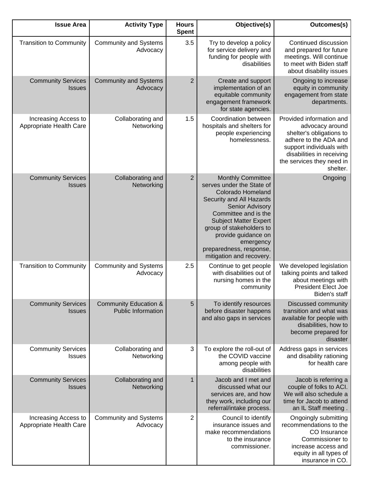| Outcomes(s)                                                                                                                                                                                        | Objective(s)                                                                                                                                                                                                                                                                                                    | <b>Hours</b><br><b>Spent</b> | <b>Activity Type</b>                                          | <b>Issue Area</b>                               |
|----------------------------------------------------------------------------------------------------------------------------------------------------------------------------------------------------|-----------------------------------------------------------------------------------------------------------------------------------------------------------------------------------------------------------------------------------------------------------------------------------------------------------------|------------------------------|---------------------------------------------------------------|-------------------------------------------------|
| Continued discussion<br>and prepared for future<br>meetings. Will continue<br>to meet with Biden staff<br>about disability issues                                                                  | Try to develop a policy<br>for service delivery and<br>funding for people with<br>disabilities                                                                                                                                                                                                                  | 3.5                          | <b>Community and Systems</b><br>Advocacy                      | <b>Transition to Community</b>                  |
| Ongoing to increase<br>equity in community<br>engagement from state<br>departments.                                                                                                                | Create and support<br>implementation of an<br>equitable community<br>engagement framework<br>for state agencies.                                                                                                                                                                                                | $\overline{2}$               | <b>Community and Systems</b><br>Advocacy                      | <b>Community Services</b><br><b>Issues</b>      |
| Provided information and<br>advocacy around<br>shelter's obligations to<br>adhere to the ADA and<br>support individuals with<br>disabilities in receiving<br>the services they need in<br>shelter. | Coordination between<br>hospitals and shelters for<br>people experiencing<br>homelessness.                                                                                                                                                                                                                      | 1.5                          | Collaborating and<br>Networking                               | Increasing Access to<br>Appropriate Health Care |
| Ongoing                                                                                                                                                                                            | <b>Monthly Committee</b><br>serves under the State of<br><b>Colorado Homeland</b><br>Security and All Hazards<br>Senior Advisory<br>Committee and is the<br><b>Subject Matter Expert</b><br>group of stakeholders to<br>provide guidance on<br>emergency<br>preparedness, response,<br>mitigation and recovery. | $\overline{2}$               | Collaborating and<br>Networking                               | <b>Community Services</b><br><b>Issues</b>      |
| We developed legislation<br>talking points and talked<br>about meetings with<br><b>President Elect Joe</b><br>Biden's staff                                                                        | Continue to get people<br>with disabilities out of<br>nursing homes in the<br>community                                                                                                                                                                                                                         | 2.5                          | <b>Community and Systems</b><br>Advocacy                      | <b>Transition to Community</b>                  |
| Discussed community<br>transition and what was<br>available for people with<br>disabilities, how to<br>become prepared for<br>disaster                                                             | To identify resources<br>before disaster happens<br>and also gaps in services                                                                                                                                                                                                                                   | 5                            | <b>Community Education &amp;</b><br><b>Public Information</b> | <b>Community Services</b><br><b>Issues</b>      |
| Address gaps in services<br>and disability rationing<br>for health care                                                                                                                            | To explore the roll-out of<br>the COVID vaccine<br>among people with<br>disabilities                                                                                                                                                                                                                            | 3                            | Collaborating and<br>Networking                               | <b>Community Services</b><br><b>Issues</b>      |
| Jacob is referring a<br>couple of folks to ACI.<br>We will also schedule a<br>time for Jacob to attend<br>an IL Staff meeting.                                                                     | Jacob and I met and<br>discussed what our<br>services are, and how<br>they work, including our<br>referral/intake process.                                                                                                                                                                                      | 1                            | Collaborating and<br>Networking                               | <b>Community Services</b><br><b>Issues</b>      |
| Ongoingly submitting<br>recommendations to the<br>CO Insurance<br>Commissioner to<br>increase access and<br>equity in all types of<br>insurance in CO.                                             | Council to identify<br>insurance issues and<br>make recommendations<br>to the insurance<br>commissioner.                                                                                                                                                                                                        | 2                            | <b>Community and Systems</b><br>Advocacy                      | Increasing Access to<br>Appropriate Health Care |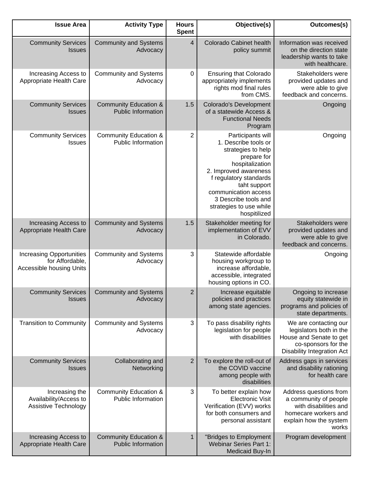| <b>Issue Area</b>                                                              | <b>Activity Type</b>                                          | <b>Hours</b><br><b>Spent</b> | Objective(s)                                                                                                                                                                                                                                                    | Outcomes(s)                                                                                                                             |
|--------------------------------------------------------------------------------|---------------------------------------------------------------|------------------------------|-----------------------------------------------------------------------------------------------------------------------------------------------------------------------------------------------------------------------------------------------------------------|-----------------------------------------------------------------------------------------------------------------------------------------|
| <b>Community Services</b><br><b>Issues</b>                                     | <b>Community and Systems</b><br>Advocacy                      | $\overline{4}$               | Colorado Cabinet health<br>policy summit                                                                                                                                                                                                                        | Information was received<br>on the direction state<br>leadership wants to take<br>with healthcare.                                      |
| Increasing Access to<br>Appropriate Health Care                                | <b>Community and Systems</b><br>Advocacy                      | $\mathbf 0$                  | <b>Ensuring that Colorado</b><br>appropriately implements<br>rights mod final rules<br>from CMS.                                                                                                                                                                | Stakeholders were<br>provided updates and<br>were able to give<br>feedback and concerns.                                                |
| <b>Community Services</b><br><b>Issues</b>                                     | <b>Community Education &amp;</b><br><b>Public Information</b> | 1.5                          | <b>Colorado's Development</b><br>of a statewide Access &<br><b>Functional Needs</b><br>Program                                                                                                                                                                  | Ongoing                                                                                                                                 |
| <b>Community Services</b><br><b>Issues</b>                                     | <b>Community Education &amp;</b><br>Public Information        | $\overline{2}$               | Participants will<br>1. Describe tools or<br>strategies to help<br>prepare for<br>hospitalization<br>2. Improved awareness<br>f regulatory standards<br>taht support<br>communication access<br>3 Describe tools and<br>strategies to use while<br>hospitilized | Ongoing                                                                                                                                 |
| Increasing Access to<br>Appropriate Health Care                                | <b>Community and Systems</b><br>Advocacy                      | 1.5                          | Stakeholder meeting for<br>implementation of EVV<br>in Colorado.                                                                                                                                                                                                | Stakeholders were<br>provided updates and<br>were able to give<br>feedback and concerns.                                                |
| <b>Increasing Opportunities</b><br>for Affordable,<br>Accessible housing Units | <b>Community and Systems</b><br>Advocacy                      | 3                            | Statewide affordable<br>housing workgroup to<br>increase affordable,<br>accessible, integrated<br>housing options in CO.                                                                                                                                        | Ongoing                                                                                                                                 |
| <b>Community Services</b><br><b>Issues</b>                                     | <b>Community and Systems</b><br>Advocacy                      | $\overline{2}$               | Increase equitable<br>policies and practices<br>among state agencies.                                                                                                                                                                                           | Ongoing to increase<br>equity statewide in<br>programs and policies of<br>state departments.                                            |
| <b>Transition to Community</b>                                                 | <b>Community and Systems</b><br>Advocacy                      | 3                            | To pass disability rights<br>legislation for people<br>with disabilities                                                                                                                                                                                        | We are contacting our<br>legislators both in the<br>House and Senate to get<br>co-sponsors for the<br><b>Disability Integration Act</b> |
| <b>Community Services</b><br><b>Issues</b>                                     | Collaborating and<br>Networking                               | $\overline{2}$               | To explore the roll-out of<br>the COVID vaccine<br>among people with<br>disabilities                                                                                                                                                                            | Address gaps in services<br>and disability rationing<br>for health care                                                                 |
| Increasing the<br>Availability/Access to<br>Assistive Technology               | <b>Community Education &amp;</b><br><b>Public Information</b> | 3                            | To better explain how<br><b>Electronic Visit</b><br>Verification (EVV) works<br>for both consumers and<br>personal assistant                                                                                                                                    | Address questions from<br>a community of people<br>with disabilities and<br>homecare workers and<br>explain how the system<br>works     |
| Increasing Access to<br>Appropriate Health Care                                | <b>Community Education &amp;</b><br><b>Public Information</b> | $\mathbf{1}$                 | "Bridges to Employment<br><b>Webinar Series Part 1:</b><br>Medicaid Buy-In                                                                                                                                                                                      | Program development                                                                                                                     |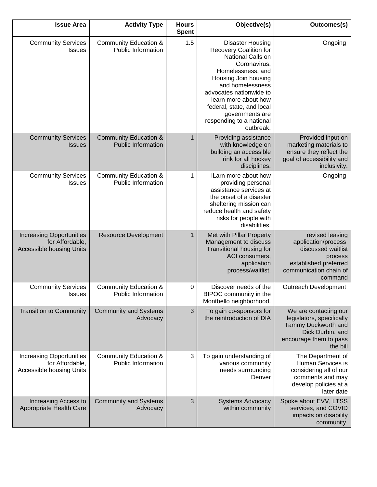| <b>Issue Area</b>                                                                     | <b>Activity Type</b>                                          | <b>Hours</b><br><b>Spent</b> | Objective(s)                                                                                                                                                                                                                                                                                        | Outcomes(s)                                                                                                                           |
|---------------------------------------------------------------------------------------|---------------------------------------------------------------|------------------------------|-----------------------------------------------------------------------------------------------------------------------------------------------------------------------------------------------------------------------------------------------------------------------------------------------------|---------------------------------------------------------------------------------------------------------------------------------------|
| <b>Community Services</b><br><b>Issues</b>                                            | <b>Community Education &amp;</b><br><b>Public Information</b> | 1.5                          | <b>Disaster Housing</b><br>Recovery Coalition for<br>National Calls on<br>Coronavirus,<br>Homelessness, and<br>Housing Join housing<br>and homelessness<br>advocates nationwide to<br>learn more about how<br>federal, state, and local<br>governments are<br>responding to a national<br>outbreak. | Ongoing                                                                                                                               |
| <b>Community Services</b><br><b>Issues</b>                                            | <b>Community Education &amp;</b><br><b>Public Information</b> | 1                            | Providing assistance<br>with knowledge on<br>building an accessible<br>rink for all hockey<br>disciplines.                                                                                                                                                                                          | Provided input on<br>marketing materials to<br>ensure they reflect the<br>goal of accessibility and<br>inclusivity.                   |
| <b>Community Services</b><br><b>Issues</b>                                            | <b>Community Education &amp;</b><br><b>Public Information</b> | 1                            | ILarn more about how<br>providing personal<br>assistance services at<br>the onset of a disaster<br>sheltering mission can<br>reduce health and safety<br>risks for people with<br>disabilities.                                                                                                     | Ongoing                                                                                                                               |
| <b>Increasing Opportunities</b><br>for Affordable,<br><b>Accessible housing Units</b> | <b>Resource Development</b>                                   | $\mathbf{1}$                 | Met with Pillar Property<br>Management to discuss<br>Transitional housing for<br>ACI consumers,<br>application<br>process/waitlist.                                                                                                                                                                 | revised leasing<br>application/process<br>discussed waitlist<br>process<br>established preferred<br>communication chain of<br>command |
| <b>Community Services</b><br>Issues                                                   | <b>Community Education &amp;</b><br>Public Information        | 0                            | Discover needs of the<br>BIPOC community in the<br>Montbello neighborhood.                                                                                                                                                                                                                          | <b>Outreach Development</b>                                                                                                           |
| <b>Transition to Community</b>                                                        | <b>Community and Systems</b><br>Advocacy                      | 3                            | To gain co-sponsors for<br>the reintroduction of DIA                                                                                                                                                                                                                                                | We are contacting our<br>legislators, specifically<br>Tammy Duckworth and<br>Dick Durbin, and<br>encourage them to pass<br>the bill   |
| <b>Increasing Opportunities</b><br>for Affordable,<br>Accessible housing Units        | Community Education &<br><b>Public Information</b>            | 3                            | To gain understanding of<br>various community<br>needs surrounding<br>Denver                                                                                                                                                                                                                        | The Department of<br>Human Services is<br>considering all of our<br>comments and may<br>develop policies at a<br>later date           |
| Increasing Access to<br>Appropriate Health Care                                       | <b>Community and Systems</b><br>Advocacy                      | 3                            | <b>Systems Advocacy</b><br>within community                                                                                                                                                                                                                                                         | Spoke about EVV, LTSS<br>services, and COVID<br>impacts on disability<br>community.                                                   |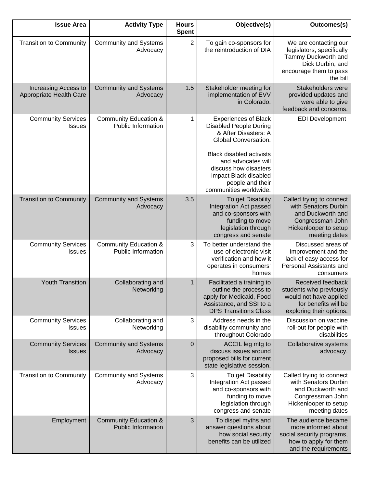| <b>Issue Area</b>                               | <b>Activity Type</b>                                          | <b>Hours</b><br><b>Spent</b> | Objective(s)                                                                                                                                                                                                                                                          | Outcomes(s)                                                                                                                         |
|-------------------------------------------------|---------------------------------------------------------------|------------------------------|-----------------------------------------------------------------------------------------------------------------------------------------------------------------------------------------------------------------------------------------------------------------------|-------------------------------------------------------------------------------------------------------------------------------------|
| <b>Transition to Community</b>                  | <b>Community and Systems</b><br>Advocacy                      | $\overline{2}$               | To gain co-sponsors for<br>the reintroduction of DIA                                                                                                                                                                                                                  | We are contacting our<br>legislators, specifically<br>Tammy Duckworth and<br>Dick Durbin, and<br>encourage them to pass<br>the bill |
| Increasing Access to<br>Appropriate Health Care | <b>Community and Systems</b><br>Advocacy                      | 1.5                          | Stakeholder meeting for<br>implementation of EVV<br>in Colorado.                                                                                                                                                                                                      | Stakeholders were<br>provided updates and<br>were able to give<br>feedback and concerns.                                            |
| <b>Community Services</b><br><b>Issues</b>      | <b>Community Education &amp;</b><br><b>Public Information</b> | 1                            | <b>Experiences of Black</b><br><b>Disabled People During</b><br>& After Disasters: A<br>Global Conversation.<br><b>Black disabled activists</b><br>and advocates will<br>discuss how disasters<br>impact Black disabled<br>people and their<br>communities worldwide. | <b>EDI Development</b>                                                                                                              |
| <b>Transition to Community</b>                  | <b>Community and Systems</b><br>Advocacy                      | 3.5                          | To get Disability<br>Integration Act passed<br>and co-sponsors with<br>funding to move<br>legislation through<br>congress and senate                                                                                                                                  | Called trying to connect<br>with Senators Durbin<br>and Duckworth and<br>Congressman John<br>Hickenlooper to setup<br>meeting dates |
| <b>Community Services</b><br><b>Issues</b>      | <b>Community Education &amp;</b><br><b>Public Information</b> | 3                            | To better understand the<br>use of electronic visit<br>verification and how it<br>operates in consumers'<br>homes                                                                                                                                                     | Discussed areas of<br>improvement and the<br>lack of easy access for<br>Personal Assistants and<br>consumers                        |
| <b>Youth Transition</b>                         | Collaborating and<br>Networking                               | 1                            | Facilitated a training to<br>outline the process to<br>apply for Medicaid, Food<br>Assistance, and SSI to a<br><b>DPS Transitions Class</b>                                                                                                                           | Received feedback<br>students who previously<br>would not have applied<br>for benefits will be<br>exploring their options.          |
| <b>Community Services</b><br><b>Issues</b>      | Collaborating and<br>Networking                               | 3                            | Address needs in the<br>disability community and<br>throughout Colorado                                                                                                                                                                                               | Discussion on vaccine<br>roll-out for people with<br>disabilities                                                                   |
| <b>Community Services</b><br><b>Issues</b>      | <b>Community and Systems</b><br>Advocacy                      | $\mathbf 0$                  | ACCIL leg mtg to<br>discuss issues around<br>proposed bills for current<br>state legislative session.                                                                                                                                                                 | Collaborative systems<br>advocacy.                                                                                                  |
| <b>Transition to Community</b>                  | <b>Community and Systems</b><br>Advocacy                      | 3                            | To get Disability<br>Integration Act passed<br>and co-sponsors with<br>funding to move<br>legislation through<br>congress and senate                                                                                                                                  | Called trying to connect<br>with Senators Durbin<br>and Duckworth and<br>Congressman John<br>Hickenlooper to setup<br>meeting dates |
| Employment                                      | <b>Community Education &amp;</b><br><b>Public Information</b> | 3                            | To dispel myths and<br>answer questions about<br>how social security<br>benefits can be utilized                                                                                                                                                                      | The audience became<br>more informed about<br>social security programs,<br>how to apply for them<br>and the requirements            |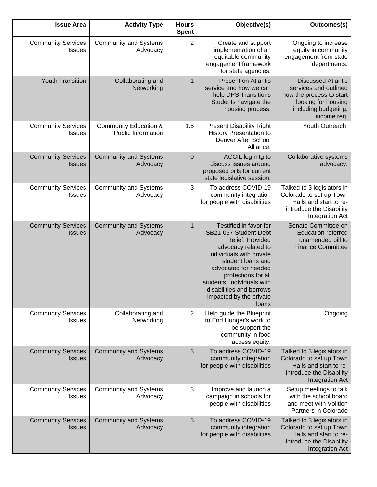| Outcomes(s)                                                                                                                                  | Objective(s)                                                                                                                                                                                                                                                                             | <b>Hours</b><br><b>Spent</b> | <b>Activity Type</b>                                          | <b>Issue Area</b>                          |
|----------------------------------------------------------------------------------------------------------------------------------------------|------------------------------------------------------------------------------------------------------------------------------------------------------------------------------------------------------------------------------------------------------------------------------------------|------------------------------|---------------------------------------------------------------|--------------------------------------------|
| Ongoing to increase<br>equity in community<br>engagement from state<br>departments.                                                          | Create and support<br>implementation of an<br>equitable community<br>engagement framework<br>for state agencies.                                                                                                                                                                         | $\overline{2}$               | <b>Community and Systems</b><br>Advocacy                      | <b>Community Services</b><br><b>Issues</b> |
| <b>Discussed Atlantis</b><br>services and outlined<br>how the process to start<br>looking for housing<br>including budgeting,<br>income req. | <b>Present on Atlantis</b><br>service and how we can<br>help DPS Transitions<br>Students navigate the<br>housing process.                                                                                                                                                                | $\mathbf{1}$                 | Collaborating and<br>Networking                               | <b>Youth Transition</b>                    |
| Youth Outreach                                                                                                                               | <b>Present Disability Right</b><br><b>History Presentation to</b><br>Denver After School<br>Alliance.                                                                                                                                                                                    | 1.5                          | <b>Community Education &amp;</b><br><b>Public Information</b> | <b>Community Services</b><br><b>Issues</b> |
| Collaborative systems<br>advocacy.                                                                                                           | ACCIL leg mtg to<br>discuss issues around<br>proposed bills for current<br>state legislative session.                                                                                                                                                                                    | $\mathbf 0$                  | <b>Community and Systems</b><br>Advocacy                      | <b>Community Services</b><br><b>Issues</b> |
| Talked to 3 legislators in<br>Colorado to set up Town<br>Halls and start to re-<br>introduce the Disability<br>Integration Act               | To address COVID-19<br>community integration<br>for people with disabilities                                                                                                                                                                                                             | 3                            | <b>Community and Systems</b><br>Advocacy                      | <b>Community Services</b><br><b>Issues</b> |
| Senate Committee on<br><b>Education referred</b><br>unamended bill to<br><b>Finance Committee</b>                                            | Testified in favor for<br>SB21-057 Student Debt<br>Relief. Provided<br>advocacy related to<br>individuals with private<br>student loans and<br>advocated for needed<br>protections for all<br>students, individuals with<br>disabilities and borrows<br>impacted by the private<br>loans | 1                            | <b>Community and Systems</b><br>Advocacy                      | <b>Community Services</b><br><b>Issues</b> |
| Ongoing                                                                                                                                      | Help guide the Blueprint<br>to End Hunger's work to<br>be support the<br>community in food<br>access equity.                                                                                                                                                                             | $\overline{2}$               | Collaborating and<br>Networking                               | <b>Community Services</b><br><b>Issues</b> |
| Talked to 3 legislators in<br>Colorado to set up Town<br>Halls and start to re-<br>introduce the Disability<br>Integration Act               | To address COVID-19<br>community integration<br>for people with disabilities                                                                                                                                                                                                             | 3                            | <b>Community and Systems</b><br>Advocacy                      | <b>Community Services</b><br><b>Issues</b> |
| Setup meetings to talk<br>with the school board<br>and meet with Volition<br>Partners in Colorado                                            | Improve and launch a<br>campaign in schools for<br>people with disabilities                                                                                                                                                                                                              | 3                            | <b>Community and Systems</b><br>Advocacy                      | <b>Community Services</b><br><b>Issues</b> |
| Talked to 3 legislators in<br>Colorado to set up Town<br>Halls and start to re-<br>introduce the Disability<br>Integration Act               | To address COVID-19<br>community integration<br>for people with disabilities                                                                                                                                                                                                             | 3                            | <b>Community and Systems</b><br>Advocacy                      | <b>Community Services</b><br><b>Issues</b> |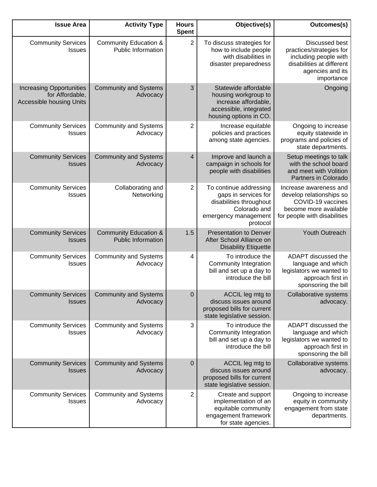| <b>Issue Area</b>                                                                     | <b>Activity Type</b>                                          | <b>Hours</b><br><b>Spent</b> | Objective(s)                                                                                                                  | Outcomes(s)                                                                                                                               |
|---------------------------------------------------------------------------------------|---------------------------------------------------------------|------------------------------|-------------------------------------------------------------------------------------------------------------------------------|-------------------------------------------------------------------------------------------------------------------------------------------|
| <b>Community Services</b><br><b>Issues</b>                                            | <b>Community Education &amp;</b><br>Public Information        | $\overline{2}$               | To discuss strategies for<br>how to include people<br>with disabilities in<br>disaster preparedness                           | <b>Discussed best</b><br>practices/strategies for<br>including people with<br>disabilities at different<br>agencies and its<br>importance |
| <b>Increasing Opportunities</b><br>for Affordable,<br><b>Accessible housing Units</b> | <b>Community and Systems</b><br>Advocacy                      | 3                            | Statewide affordable<br>housing workgroup to<br>increase affordable,<br>accessible, integrated<br>housing options in CO.      | Ongoing                                                                                                                                   |
| <b>Community Services</b><br><b>Issues</b>                                            | <b>Community and Systems</b><br>Advocacy                      | $\mathbf{2}$                 | Increase equitable<br>policies and practices<br>among state agencies.                                                         | Ongoing to increase<br>equity statewide in<br>programs and policies of<br>state departments.                                              |
| <b>Community Services</b><br><b>Issues</b>                                            | <b>Community and Systems</b><br>Advocacy                      | 4                            | Improve and launch a<br>campaign in schools for<br>people with disabilities                                                   | Setup meetings to talk<br>with the school board<br>and meet with Volition<br>Partners in Colorado                                         |
| <b>Community Services</b><br><b>Issues</b>                                            | Collaborating and<br>Networking                               | $\mathbf{2}$                 | To continue addressing<br>gaps in services for<br>disabilities throughout<br>Colorado and<br>emergency management<br>protocol | Increase awareness and<br>develop relationships so<br>COVID-19 vaccines<br>become more available<br>for people with disabilities          |
| <b>Community Services</b><br><b>Issues</b>                                            | <b>Community Education &amp;</b><br><b>Public Information</b> | 1.5                          | <b>Presentation to Denver</b><br>After School Alliance on<br><b>Disability Etiquette</b>                                      | Youth Outreach                                                                                                                            |
| <b>Community Services</b><br><b>Issues</b>                                            | <b>Community and Systems</b><br>Advocacy                      | 4                            | To introduce the<br>Community Integration<br>bill and set up a day to<br>introduce the bill                                   | ADAPT discussed the<br>language and which<br>legislators we wanted to<br>approach first in<br>sponsoring the bill                         |
| Community Services   Community and Systems<br><b>Issues</b>                           | Advocacy                                                      | $\pmb{0}$                    | ACCIL leg mtg to<br>discuss issues around<br>proposed bills for current<br>state legislative session.                         | Collaborative systems<br>advocacy.                                                                                                        |
| <b>Community Services</b><br><b>Issues</b>                                            | <b>Community and Systems</b><br>Advocacy                      | 3                            | To introduce the<br><b>Community Integration</b><br>bill and set up a day to<br>introduce the bill                            | ADAPT discussed the<br>language and which<br>legislators we wanted to<br>approach first in<br>sponsoring the bill                         |
| <b>Community Services</b><br><b>Issues</b>                                            | <b>Community and Systems</b><br>Advocacy                      | $\pmb{0}$                    | ACCIL leg mtg to<br>discuss issues around<br>proposed bills for current<br>state legislative session.                         | Collaborative systems<br>advocacy.                                                                                                        |
| <b>Community Services</b><br><b>Issues</b>                                            | <b>Community and Systems</b><br>Advocacy                      | $\overline{2}$               | Create and support<br>implementation of an<br>equitable community<br>engagement framework<br>for state agencies.              | Ongoing to increase<br>equity in community<br>engagement from state<br>departments.                                                       |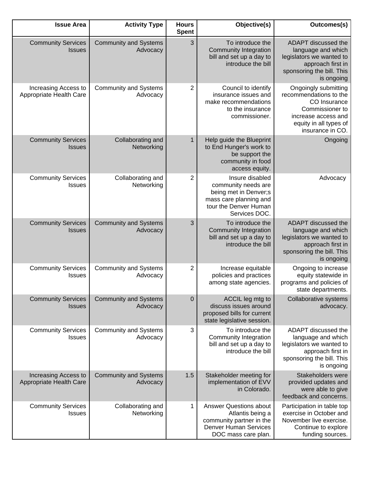| <b>Issue Area</b>                               | <b>Activity Type</b>                     | <b>Hours</b><br><b>Spent</b> | Objective(s)                                                                                                                         | Outcomes(s)                                                                                                                                            |
|-------------------------------------------------|------------------------------------------|------------------------------|--------------------------------------------------------------------------------------------------------------------------------------|--------------------------------------------------------------------------------------------------------------------------------------------------------|
| <b>Community Services</b><br><b>Issues</b>      | <b>Community and Systems</b><br>Advocacy | 3                            | To introduce the<br><b>Community Integration</b><br>bill and set up a day to<br>introduce the bill                                   | ADAPT discussed the<br>language and which<br>legislators we wanted to<br>approach first in<br>sponsoring the bill. This<br>is ongoing                  |
| Increasing Access to<br>Appropriate Health Care | <b>Community and Systems</b><br>Advocacy | 2                            | Council to identify<br>insurance issues and<br>make recommendations<br>to the insurance<br>commissioner.                             | Ongoingly submitting<br>recommendations to the<br>CO Insurance<br>Commissioner to<br>increase access and<br>equity in all types of<br>insurance in CO. |
| <b>Community Services</b><br><b>Issues</b>      | Collaborating and<br>Networking          | $\mathbf{1}$                 | Help guide the Blueprint<br>to End Hunger's work to<br>be support the<br>community in food<br>access equity.                         | Ongoing                                                                                                                                                |
| <b>Community Services</b><br><b>Issues</b>      | Collaborating and<br>Networking          | 2                            | Insure disabled<br>community needs are<br>being met in Denver;s<br>mass care planning and<br>tour the Denver Human<br>Services DOC.  | Advocacy                                                                                                                                               |
| <b>Community Services</b><br><b>Issues</b>      | <b>Community and Systems</b><br>Advocacy | 3                            | To introduce the<br><b>Community Integration</b><br>bill and set up a day to<br>introduce the bill                                   | ADAPT discussed the<br>language and which<br>legislators we wanted to<br>approach first in<br>sponsoring the bill. This<br>is ongoing                  |
| <b>Community Services</b><br><b>Issues</b>      | <b>Community and Systems</b><br>Advocacy | 2                            | Increase equitable<br>policies and practices<br>among state agencies.                                                                | Ongoing to increase<br>equity statewide in<br>programs and policies of<br>state departments.                                                           |
| <b>Community Services</b><br><b>Issues</b>      | <b>Community and Systems</b><br>Advocacy | $\mathbf 0$                  | ACCIL leg mtg to<br>discuss issues around<br>proposed bills for current<br>state legislative session.                                | Collaborative systems<br>advocacy.                                                                                                                     |
| <b>Community Services</b><br><b>Issues</b>      | <b>Community and Systems</b><br>Advocacy | 3                            | To introduce the<br>Community Integration<br>bill and set up a day to<br>introduce the bill                                          | ADAPT discussed the<br>language and which<br>legislators we wanted to<br>approach first in<br>sponsoring the bill. This<br>is ongoing                  |
| Increasing Access to<br>Appropriate Health Care | <b>Community and Systems</b><br>Advocacy | 1.5                          | Stakeholder meeting for<br>implementation of EVV<br>in Colorado.                                                                     | Stakeholders were<br>provided updates and<br>were able to give<br>feedback and concerns.                                                               |
| <b>Community Services</b><br><b>Issues</b>      | Collaborating and<br>Networking          | 1                            | <b>Answer Questions about</b><br>Atlantis being a<br>community partner in the<br><b>Denver Human Services</b><br>DOC mass care plan. | Participation in table top<br>exercise in October and<br>November live exercise.<br>Continue to explore<br>funding sources.                            |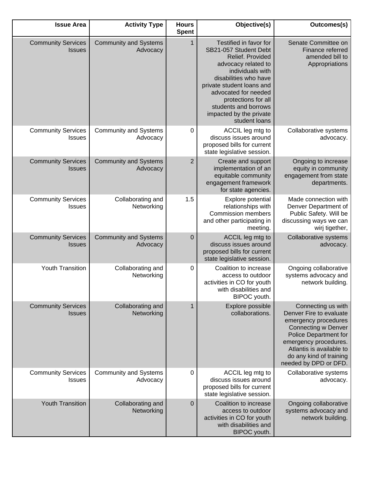| <b>Issue Area</b>                          | <b>Activity Type</b>                     | <b>Hours</b><br><b>Spent</b> | Objective(s)                                                                                                                                                                                                                                                                            | Outcomes(s)                                                                                                                                                                                                                           |
|--------------------------------------------|------------------------------------------|------------------------------|-----------------------------------------------------------------------------------------------------------------------------------------------------------------------------------------------------------------------------------------------------------------------------------------|---------------------------------------------------------------------------------------------------------------------------------------------------------------------------------------------------------------------------------------|
| <b>Community Services</b><br><b>Issues</b> | <b>Community and Systems</b><br>Advocacy | $\mathbf{1}$                 | Testified in favor for<br>SB21-057 Student Debt<br>Relief. Provided<br>advocacy related to<br>individuals with<br>disabilities who have<br>private student loans and<br>advocated for needed<br>protections for all<br>students and borrows<br>impacted by the private<br>student loans | Senate Committee on<br>Finance referred<br>amended bill to<br>Appropriations                                                                                                                                                          |
| <b>Community Services</b><br>Issues        | <b>Community and Systems</b><br>Advocacy | 0                            | ACCIL leg mtg to<br>discuss issues around<br>proposed bills for current<br>state legislative session.                                                                                                                                                                                   | Collaborative systems<br>advocacy.                                                                                                                                                                                                    |
| <b>Community Services</b><br><b>Issues</b> | <b>Community and Systems</b><br>Advocacy | $\overline{2}$               | Create and support<br>implementation of an<br>equitable community<br>engagement framework<br>for state agencies.                                                                                                                                                                        | Ongoing to increase<br>equity in community<br>engagement from state<br>departments.                                                                                                                                                   |
| <b>Community Services</b><br><b>Issues</b> | Collaborating and<br>Networking          | 1.5                          | Explore potential<br>relationships with<br><b>Commission members</b><br>and other participating in<br>meeting.                                                                                                                                                                          | Made connection with<br>Denver Department of<br>Public Safety. Will be<br>discussing ways we can<br>wirj tigether,                                                                                                                    |
| <b>Community Services</b><br><b>Issues</b> | <b>Community and Systems</b><br>Advocacy | $\mathbf 0$                  | ACCIL leg mtg to<br>discuss issues around<br>proposed bills for current<br>state legislative session.                                                                                                                                                                                   | Collaborative systems<br>advocacy.                                                                                                                                                                                                    |
| Youth Transition                           | Collaborating and<br>Networking          | $\pmb{0}$                    | Coalition to increase<br>access to outdoor<br>activities in CO for youth<br>with disabilities and<br>BIPOC youth.                                                                                                                                                                       | Ongoing collaborative<br>systems advocacy and<br>network building.                                                                                                                                                                    |
| <b>Community Services</b><br><b>Issues</b> | Collaborating and<br>Networking          | 1                            | Explore possible<br>collaborations.                                                                                                                                                                                                                                                     | Connecting us with<br>Denver Fire to evaluate<br>emergency procedures<br><b>Connecting w Denver</b><br>Police Department for<br>emergency procedures.<br>Atlantis is available to<br>do any kind of training<br>needed by DPD or DFD. |
| <b>Community Services</b><br><b>Issues</b> | <b>Community and Systems</b><br>Advocacy | 0                            | ACCIL leg mtg to<br>discuss issues around<br>proposed bills for current<br>state legislative session.                                                                                                                                                                                   | Collaborative systems<br>advocacy.                                                                                                                                                                                                    |
| <b>Youth Transition</b>                    | Collaborating and<br>Networking          | $\mathbf 0$                  | Coalition to increase<br>access to outdoor<br>activities in CO for youth<br>with disabilities and<br>BIPOC youth.                                                                                                                                                                       | Ongoing collaborative<br>systems advocacy and<br>network building.                                                                                                                                                                    |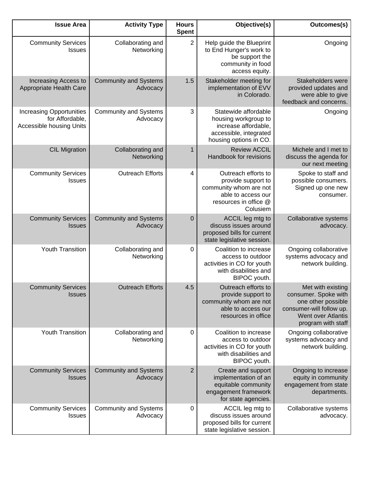| <b>Issue Area</b>                                                              | <b>Activity Type</b>                     | <b>Hours</b><br><b>Spent</b> | Objective(s)                                                                                                                   | Outcomes(s)                                                                                                                             |
|--------------------------------------------------------------------------------|------------------------------------------|------------------------------|--------------------------------------------------------------------------------------------------------------------------------|-----------------------------------------------------------------------------------------------------------------------------------------|
| <b>Community Services</b><br><b>Issues</b>                                     | Collaborating and<br>Networking          | $\overline{2}$               | Help guide the Blueprint<br>to End Hunger's work to<br>be support the<br>community in food<br>access equity.                   | Ongoing                                                                                                                                 |
| Increasing Access to<br>Appropriate Health Care                                | <b>Community and Systems</b><br>Advocacy | 1.5                          | Stakeholder meeting for<br>implementation of EVV<br>in Colorado.                                                               | Stakeholders were<br>provided updates and<br>were able to give<br>feedback and concerns.                                                |
| <b>Increasing Opportunities</b><br>for Affordable,<br>Accessible housing Units | <b>Community and Systems</b><br>Advocacy | 3                            | Statewide affordable<br>housing workgroup to<br>increase affordable,<br>accessible, integrated<br>housing options in CO.       | Ongoing                                                                                                                                 |
| <b>CIL Migration</b>                                                           | Collaborating and<br>Networking          | 1                            | <b>Review ACCIL</b><br>Handbook for revisions                                                                                  | Michele and I met to<br>discuss the agenda for<br>our next meeting                                                                      |
| <b>Community Services</b><br><b>Issues</b>                                     | <b>Outreach Efforts</b>                  | 4                            | Outreach efforts to<br>provide support to<br>community whom are not<br>able to access our<br>resources in office @<br>Colusiem | Spoke to staff and<br>possible consumers.<br>Signed up one new<br>consumer.                                                             |
| <b>Community Services</b><br><b>Issues</b>                                     | <b>Community and Systems</b><br>Advocacy | $\mathbf 0$                  | ACCIL leg mtg to<br>discuss issues around<br>proposed bills for current<br>state legislative session.                          | Collaborative systems<br>advocacy.                                                                                                      |
| Youth Transition                                                               | Collaborating and<br>Networking          | 0                            | Coalition to increase<br>access to outdoor<br>activities in CO for youth<br>with disabilities and<br>BIPOC youth.              | Ongoing collaborative<br>systems advocacy and<br>network building.                                                                      |
| <b>Community Services</b><br><b>Issues</b>                                     | <b>Outreach Efforts</b>                  | 4.5                          | Outreach efforts to<br>provide support to<br>community whom are not<br>able to access our<br>resources in office               | Met with existing<br>consumer. Spoke with<br>one other possible<br>consumer-will follow up.<br>Went over Atlantis<br>program with staff |
| <b>Youth Transition</b>                                                        | Collaborating and<br>Networking          | 0                            | Coalition to increase<br>access to outdoor<br>activities in CO for youth<br>with disabilities and<br>BIPOC youth.              | Ongoing collaborative<br>systems advocacy and<br>network building.                                                                      |
| <b>Community Services</b><br><b>Issues</b>                                     | <b>Community and Systems</b><br>Advocacy | $\overline{2}$               | Create and support<br>implementation of an<br>equitable community<br>engagement framework<br>for state agencies.               | Ongoing to increase<br>equity in community<br>engagement from state<br>departments.                                                     |
| <b>Community Services</b><br><b>Issues</b>                                     | <b>Community and Systems</b><br>Advocacy | 0                            | ACCIL leg mtg to<br>discuss issues around<br>proposed bills for current<br>state legislative session.                          | Collaborative systems<br>advocacy.                                                                                                      |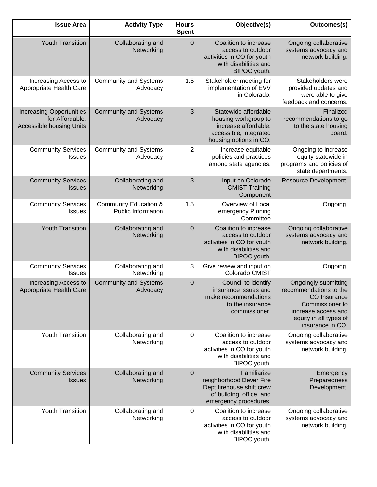| <b>Issue Area</b>                                                                     | <b>Activity Type</b>                                          | <b>Hours</b><br><b>Spent</b> | Objective(s)                                                                                                             | Outcomes(s)                                                                                                                                            |
|---------------------------------------------------------------------------------------|---------------------------------------------------------------|------------------------------|--------------------------------------------------------------------------------------------------------------------------|--------------------------------------------------------------------------------------------------------------------------------------------------------|
| <b>Youth Transition</b>                                                               | Collaborating and<br>Networking                               | $\mathbf 0$                  | Coalition to increase<br>access to outdoor<br>activities in CO for youth<br>with disabilities and<br>BIPOC youth.        | Ongoing collaborative<br>systems advocacy and<br>network building.                                                                                     |
| Increasing Access to<br>Appropriate Health Care                                       | <b>Community and Systems</b><br>Advocacy                      | 1.5                          | Stakeholder meeting for<br>implementation of EVV<br>in Colorado.                                                         | Stakeholders were<br>provided updates and<br>were able to give<br>feedback and concerns.                                                               |
| <b>Increasing Opportunities</b><br>for Affordable,<br><b>Accessible housing Units</b> | <b>Community and Systems</b><br>Advocacy                      | 3                            | Statewide affordable<br>housing workgroup to<br>increase affordable,<br>accessible, integrated<br>housing options in CO. | Finalized<br>recommendations to go<br>to the state housing<br>board.                                                                                   |
| <b>Community Services</b><br>Issues                                                   | <b>Community and Systems</b><br>Advocacy                      | $\overline{2}$               | Increase equitable<br>policies and practices<br>among state agencies.                                                    | Ongoing to increase<br>equity statewide in<br>programs and policies of<br>state departments.                                                           |
| <b>Community Services</b><br><b>Issues</b>                                            | Collaborating and<br>Networking                               | 3                            | Input on Colorado<br><b>CMIST Training</b><br>Component                                                                  | <b>Resource Development</b>                                                                                                                            |
| <b>Community Services</b><br><b>Issues</b>                                            | <b>Community Education &amp;</b><br><b>Public Information</b> | 1.5                          | Overview of Local<br>emergency Plnning<br>Committee                                                                      | Ongoing                                                                                                                                                |
| <b>Youth Transition</b>                                                               | Collaborating and<br>Networking                               | $\mathbf 0$                  | Coalition to increase<br>access to outdoor<br>activities in CO for youth<br>with disabilities and<br>BIPOC youth.        | Ongoing collaborative<br>systems advocacy and<br>network building.                                                                                     |
| <b>Community Services</b><br>Issues                                                   | Collaborating and<br>Networking                               | 3                            | Give review and input on<br>Colorado CMIST                                                                               | Ongoing                                                                                                                                                |
| Increasing Access to<br>Appropriate Health Care                                       | <b>Community and Systems</b><br>Advocacy                      | $\mathbf 0$                  | Council to identify<br>insurance issues and<br>make recommendations<br>to the insurance<br>commissioner.                 | Ongoingly submitting<br>recommendations to the<br>CO Insurance<br>Commissioner to<br>increase access and<br>equity in all types of<br>insurance in CO. |
| Youth Transition                                                                      | Collaborating and<br>Networking                               | 0                            | Coalition to increase<br>access to outdoor<br>activities in CO for youth<br>with disabilities and<br>BIPOC youth.        | Ongoing collaborative<br>systems advocacy and<br>network building.                                                                                     |
| <b>Community Services</b><br><b>Issues</b>                                            | Collaborating and<br>Networking                               | $\mathbf 0$                  | Familiarize<br>neighborhood Dever Fire<br>Dept firehouse shift crew<br>of building, office and<br>emergency procedures.  | Emergency<br>Preparedness<br>Development                                                                                                               |
| Youth Transition                                                                      | Collaborating and<br>Networking                               | 0                            | Coalition to increase<br>access to outdoor<br>activities in CO for youth<br>with disabilities and<br>BIPOC youth.        | Ongoing collaborative<br>systems advocacy and<br>network building.                                                                                     |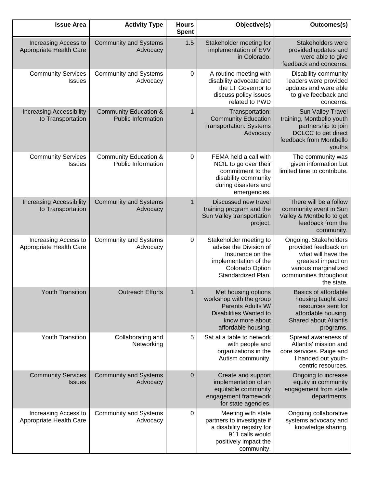| <b>Issue Area</b>                                    | <b>Activity Type</b>                                          | <b>Hours</b><br><b>Spent</b> | Objective(s)                                                                                                                                   | Outcomes(s)                                                                                                                                               |
|------------------------------------------------------|---------------------------------------------------------------|------------------------------|------------------------------------------------------------------------------------------------------------------------------------------------|-----------------------------------------------------------------------------------------------------------------------------------------------------------|
| Increasing Access to<br>Appropriate Health Care      | <b>Community and Systems</b><br>Advocacy                      | 1.5                          | Stakeholder meeting for<br>implementation of EVV<br>in Colorado.                                                                               | Stakeholders were<br>provided updates and<br>were able to give<br>feedback and concerns.                                                                  |
| <b>Community Services</b><br><b>Issues</b>           | <b>Community and Systems</b><br>Advocacy                      | $\pmb{0}$                    | A routine meeting with<br>disability advocate and<br>the LT Governor to<br>discuss policy issues<br>related to PWD                             | Disability community<br>leaders were provided<br>updates and were able<br>to give feedback and<br>concerns.                                               |
| <b>Increasing Accessibility</b><br>to Transportation | <b>Community Education &amp;</b><br><b>Public Information</b> | 1                            | Transportation:<br><b>Community Education</b><br><b>Transportation: Systems</b><br>Advocacy                                                    | Sun Valley Travel<br>training, Montbello youth<br>partnership to join<br>DCLCC to get direct<br>feedback from Montbello<br>youths                         |
| <b>Community Services</b><br><b>Issues</b>           | <b>Community Education &amp;</b><br><b>Public Information</b> | 0                            | FEMA held a call with<br>NCIL to go over their<br>commitment to the<br>disability community<br>during disasters and<br>emergencies.            | The community was<br>given information but<br>limited time to contribute.                                                                                 |
| <b>Increasing Accessibility</b><br>to Transportation | <b>Community and Systems</b><br>Advocacy                      | 1                            | Discussed new travel<br>training program and the<br>Sun Valley transportation<br>project.                                                      | There will be a follow<br>community event in Sun<br>Valley & Montbello to get<br>feedback from the<br>community.                                          |
| Increasing Access to<br>Appropriate Health Care      | <b>Community and Systems</b><br>Advocacy                      | $\pmb{0}$                    | Stakeholder meeting to<br>advise the Division of<br>Insurance on the<br>implementation of the<br>Colorado Option<br>Standardized Plan.         | Ongoing. Stakeholders<br>provided feedback on<br>what will have the<br>greatest impact on<br>various marginalized<br>communities throughout<br>the state. |
| <b>Youth Transition</b>                              | <b>Outreach Efforts</b>                                       | 1                            | Met housing options<br>workshop with the group<br>Parents Adults W/<br><b>Disabilities Wanted to</b><br>know more about<br>affordable housing. | <b>Basics of affordable</b><br>housing taught and<br>resources sent for<br>affordable housing.<br><b>Shared about Atlantis</b><br>programs.               |
| <b>Youth Transition</b>                              | Collaborating and<br>Networking                               | 5                            | Sat at a table to network<br>with people and<br>organizations in the<br>Autism community.                                                      | Spread awareness of<br>Atlantis' mission and<br>core services. Paige and<br>I handed out youth-<br>centric resources.                                     |
| <b>Community Services</b><br><b>Issues</b>           | <b>Community and Systems</b><br>Advocacy                      | $\mathbf 0$                  | Create and support<br>implementation of an<br>equitable community<br>engagement framework<br>for state agencies.                               | Ongoing to increase<br>equity in community<br>engagement from state<br>departments.                                                                       |
| Increasing Access to<br>Appropriate Health Care      | <b>Community and Systems</b><br>Advocacy                      | 0                            | Meeting with state<br>partners to investigate if<br>a disability registry for<br>911 calls would<br>positively impact the<br>community.        | Ongoing collaborative<br>systems advocacy and<br>knowledge sharing.                                                                                       |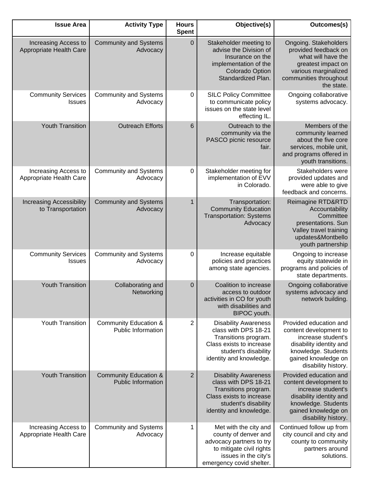| Outcomes(s)                                                                                                                                                            | Objective(s)                                                                                                                                               | <b>Hours</b><br><b>Spent</b> | <b>Activity Type</b>                                          | <b>Issue Area</b>                                    |
|------------------------------------------------------------------------------------------------------------------------------------------------------------------------|------------------------------------------------------------------------------------------------------------------------------------------------------------|------------------------------|---------------------------------------------------------------|------------------------------------------------------|
| Ongoing. Stakeholders<br>provided feedback on<br>what will have the<br>greatest impact on<br>various marginalized<br>communities throughout<br>the state.              | Stakeholder meeting to<br>advise the Division of<br>Insurance on the<br>implementation of the<br>Colorado Option<br>Standardized Plan.                     | $\pmb{0}$                    | <b>Community and Systems</b><br>Advocacy                      | Increasing Access to<br>Appropriate Health Care      |
| Ongoing collaborative<br>systems advocacy.                                                                                                                             | <b>SILC Policy Committee</b><br>to communicate policy<br>issues on the state level<br>effecting IL.                                                        | $\pmb{0}$                    | <b>Community and Systems</b><br>Advocacy                      | <b>Community Services</b><br><b>Issues</b>           |
| Members of the<br>community learned<br>about the five core<br>services, mobile unit,<br>and programs offered in<br>youth transitions.                                  | Outreach to the<br>community via the<br>PASCO picnic resource<br>fair.                                                                                     | 6                            | <b>Outreach Efforts</b>                                       | <b>Youth Transition</b>                              |
| Stakeholders were<br>provided updates and<br>were able to give<br>feedback and concerns.                                                                               | Stakeholder meeting for<br>implementation of EVV<br>in Colorado.                                                                                           | $\pmb{0}$                    | <b>Community and Systems</b><br>Advocacy                      | Increasing Access to<br>Appropriate Health Care      |
| Reimagine RTD&RTD<br>Accountability<br>Committee<br>presentations. Sun<br>Valley travel training<br>updates&Montbello<br>youth partnership                             | Transportation:<br><b>Community Education</b><br><b>Transportation: Systems</b><br>Advocacy                                                                | 1                            | <b>Community and Systems</b><br>Advocacy                      | <b>Increasing Accessibility</b><br>to Transportation |
| Ongoing to increase<br>equity statewide in<br>programs and policies of<br>state departments.                                                                           | Increase equitable<br>policies and practices<br>among state agencies.                                                                                      | 0                            | <b>Community and Systems</b><br>Advocacy                      | <b>Community Services</b><br><b>Issues</b>           |
| Ongoing collaborative<br>systems advocacy and<br>network building.                                                                                                     | Coalition to increase<br>access to outdoor<br>activities in CO for youth<br>with disabilities and<br>BIPOC youth.                                          | $\mathbf 0$                  | Collaborating and<br>Networking                               | <b>Youth Transition</b>                              |
| Provided education and<br>content development to<br>increase student's<br>disability identity and<br>knowledge. Students<br>gained knowledge on<br>disability history. | <b>Disability Awareness</b><br>class with DPS 18-21<br>Transitions program.<br>Class exists to increase<br>student's disability<br>identity and knowledge. | 2                            | <b>Community Education &amp;</b><br><b>Public Information</b> | <b>Youth Transition</b>                              |
| Provided education and<br>content development to<br>increase student's<br>disability identity and<br>knowledge. Students<br>gained knowledge on<br>disability history. | <b>Disability Awareness</b><br>class with DPS 18-21<br>Transitions program.<br>Class exists to increase<br>student's disability<br>identity and knowledge. | $\overline{2}$               | <b>Community Education &amp;</b><br><b>Public Information</b> | <b>Youth Transition</b>                              |
| Continued follow up from<br>city council and city and<br>county to community<br>partners around<br>solutions.                                                          | Met with the city and<br>county of denver and<br>advocacy partners to try<br>to mitigate civil rights<br>issues in the city's<br>emergency covid shelter.  | 1                            | <b>Community and Systems</b><br>Advocacy                      | Increasing Access to<br>Appropriate Health Care      |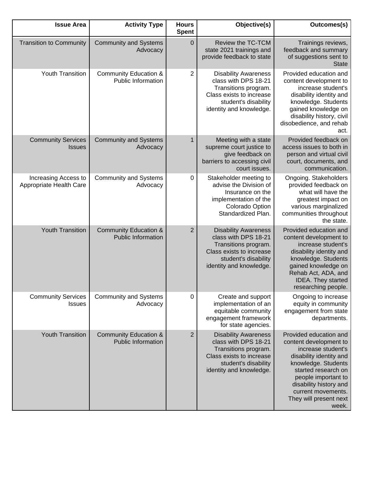| <b>Issue Area</b>                               | <b>Activity Type</b>                                          | <b>Hours</b><br><b>Spent</b> | Objective(s)                                                                                                                                               | Outcomes(s)                                                                                                                                                                                                                                               |
|-------------------------------------------------|---------------------------------------------------------------|------------------------------|------------------------------------------------------------------------------------------------------------------------------------------------------------|-----------------------------------------------------------------------------------------------------------------------------------------------------------------------------------------------------------------------------------------------------------|
| <b>Transition to Community</b>                  | <b>Community and Systems</b><br>Advocacy                      | $\mathbf 0$                  | <b>Review the TC-TCM</b><br>state 2021 trainings and<br>provide feedback to state                                                                          | Trainings reviews,<br>feedback and summary<br>of suggestions sent to<br><b>State</b>                                                                                                                                                                      |
| <b>Youth Transition</b>                         | <b>Community Education &amp;</b><br><b>Public Information</b> | 2                            | <b>Disability Awareness</b><br>class with DPS 18-21<br>Transitions program.<br>Class exists to increase<br>student's disability<br>identity and knowledge. | Provided education and<br>content development to<br>increase student's<br>disability identity and<br>knowledge. Students<br>gained knowledge on<br>disability history, civil<br>disobedience, and rehab<br>act.                                           |
| <b>Community Services</b><br><b>Issues</b>      | <b>Community and Systems</b><br>Advocacy                      | $\mathbf{1}$                 | Meeting with a state<br>supreme court justice to<br>give feedback on<br>barriers to accessing civil<br>court issues.                                       | Provided feedback on<br>access issues to both in<br>person and virtual civil<br>court, documents, and<br>communication.                                                                                                                                   |
| Increasing Access to<br>Appropriate Health Care | <b>Community and Systems</b><br>Advocacy                      | 0                            | Stakeholder meeting to<br>advise the Division of<br>Insurance on the<br>implementation of the<br>Colorado Option<br>Standardized Plan.                     | Ongoing. Stakeholders<br>provided feedback on<br>what will have the<br>greatest impact on<br>various marginalized<br>communities throughout<br>the state.                                                                                                 |
| <b>Youth Transition</b>                         | <b>Community Education &amp;</b><br><b>Public Information</b> | $\overline{2}$               | <b>Disability Awareness</b><br>class with DPS 18-21<br>Transitions program.<br>Class exists to increase<br>student's disability<br>identity and knowledge. | Provided education and<br>content development to<br>increase student's<br>disability identity and<br>knowledge. Students<br>gained knowledge on<br>Rehab Act, ADA, and<br>IDEA. They started<br>researching people.                                       |
| <b>Community Services</b><br><b>Issues</b>      | <b>Community and Systems</b><br>Advocacy                      | 0                            | Create and support<br>implementation of an<br>equitable community<br>engagement framework<br>for state agencies.                                           | Ongoing to increase<br>equity in community<br>engagement from state<br>departments.                                                                                                                                                                       |
| <b>Youth Transition</b>                         | <b>Community Education &amp;</b><br><b>Public Information</b> | $\overline{2}$               | <b>Disability Awareness</b><br>class with DPS 18-21<br>Transitions program.<br>Class exists to increase<br>student's disability<br>identity and knowledge. | Provided education and<br>content development to<br>increase student's<br>disability identity and<br>knowledge. Students<br>started research on<br>people important to<br>disability history and<br>current movements.<br>They will present next<br>week. |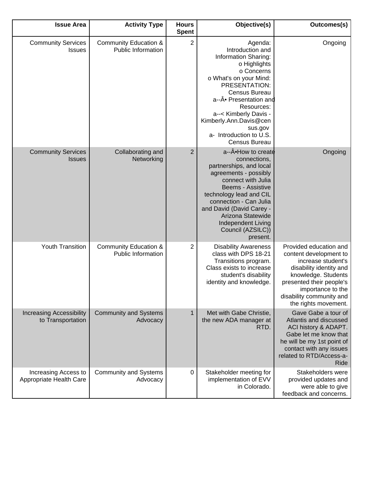| <b>Issue Area</b>                                    | <b>Activity Type</b>                                          | <b>Hours</b><br><b>Spent</b> | Objective(s)                                                                                                                                                                                                                                                                                   | Outcomes(s)                                                                                                                                                                                                                   |
|------------------------------------------------------|---------------------------------------------------------------|------------------------------|------------------------------------------------------------------------------------------------------------------------------------------------------------------------------------------------------------------------------------------------------------------------------------------------|-------------------------------------------------------------------------------------------------------------------------------------------------------------------------------------------------------------------------------|
| <b>Community Services</b><br>Issues                  | Community Education &<br><b>Public Information</b>            | 2                            | Agenda:<br>Introduction and<br>Information Sharing:<br>o Highlights<br>o Concerns<br>o What's on your Mind:<br>PRESENTATION:<br>Census Bureau<br>a--• Presentation and<br>Resources:<br>a--< Kimberly Davis -<br>Kimberly.Ann.Davis@cen<br>sus.gov<br>a- Introduction to U.S.<br>Census Bureau | Ongoing                                                                                                                                                                                                                       |
| <b>Community Services</b><br><b>Issues</b>           | Collaborating and<br>Networking                               | $\overline{2}$               | a--• How to create<br>connections,<br>partnerships, and local<br>agreements - possibly<br>connect with Julia<br>Beems - Assistive<br>technology lead and CIL<br>connection - Can Julia<br>and David (David Carey -<br>Arizona Statewide<br>Independent Living<br>Council (AZSILC))<br>present. | Ongoing                                                                                                                                                                                                                       |
| <b>Youth Transition</b>                              | <b>Community Education &amp;</b><br><b>Public Information</b> | $\overline{2}$               | <b>Disability Awareness</b><br>class with DPS 18-21<br>Transitions program.<br>Class exists to increase<br>student's disability<br>identity and knowledge.                                                                                                                                     | Provided education and<br>content development to<br>increase student's<br>disability identity and<br>knowledge. Students<br>presented their people's<br>importance to the<br>disability community and<br>the rights movement. |
| <b>Increasing Accessibility</b><br>to Transportation | <b>Community and Systems</b><br>Advocacy                      | $\mathbf{1}$                 | Met with Gabe Christie,<br>the new ADA manager at<br>RTD.                                                                                                                                                                                                                                      | Gave Gabe a tour of<br>Atlantis and discussed<br>ACI history & ADAPT.<br>Gabe let me know that<br>he will be my 1st point of<br>contact with any issues<br>related to RTD/Access-a-<br>Ride                                   |
| Increasing Access to<br>Appropriate Health Care      | <b>Community and Systems</b><br>Advocacy                      | $\pmb{0}$                    | Stakeholder meeting for<br>implementation of EVV<br>in Colorado.                                                                                                                                                                                                                               | Stakeholders were<br>provided updates and<br>were able to give<br>feedback and concerns.                                                                                                                                      |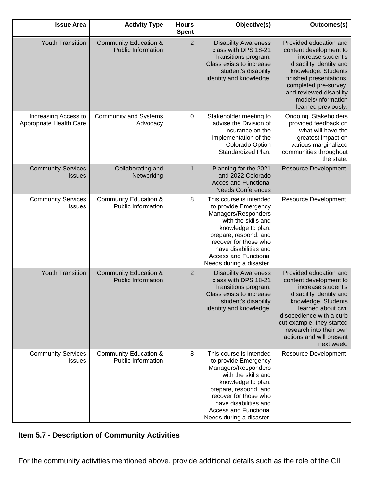| <b>Issue Area</b>                               | <b>Activity Type</b>                                          | <b>Hours</b><br><b>Spent</b> | Objective(s)                                                                                                                                                                                                                                               | Outcomes(s)                                                                                                                                                                                                                                                                   |
|-------------------------------------------------|---------------------------------------------------------------|------------------------------|------------------------------------------------------------------------------------------------------------------------------------------------------------------------------------------------------------------------------------------------------------|-------------------------------------------------------------------------------------------------------------------------------------------------------------------------------------------------------------------------------------------------------------------------------|
| <b>Youth Transition</b>                         | <b>Community Education &amp;</b><br><b>Public Information</b> | $\overline{2}$               | <b>Disability Awareness</b><br>class with DPS 18-21<br>Transitions program.<br>Class exists to increase<br>student's disability<br>identity and knowledge.                                                                                                 | Provided education and<br>content development to<br>increase student's<br>disability identity and<br>knowledge. Students<br>finished presentations,<br>completed pre-survey,<br>and reviewed disability<br>models/information<br>learned previously.                          |
| Increasing Access to<br>Appropriate Health Care | <b>Community and Systems</b><br>Advocacy                      | 0                            | Stakeholder meeting to<br>advise the Division of<br>Insurance on the<br>implementation of the<br>Colorado Option<br>Standardized Plan.                                                                                                                     | Ongoing. Stakeholders<br>provided feedback on<br>what will have the<br>greatest impact on<br>various marginalized<br>communities throughout<br>the state.                                                                                                                     |
| <b>Community Services</b><br><b>Issues</b>      | Collaborating and<br>Networking                               | 1                            | Planning for the 2021<br>and 2022 Colorado<br><b>Acces and Functional</b><br><b>Needs Conferences</b>                                                                                                                                                      | <b>Resource Development</b>                                                                                                                                                                                                                                                   |
| <b>Community Services</b><br><b>Issues</b>      | <b>Community Education &amp;</b><br>Public Information        | 8                            | This course is intended<br>to provide Emergency<br>Managers/Responders<br>with the skills and<br>knowledge to plan,<br>prepare, respond, and<br>recover for those who<br>have disabilities and<br><b>Access and Functional</b><br>Needs during a disaster. | <b>Resource Development</b>                                                                                                                                                                                                                                                   |
| <b>Youth Transition</b>                         | <b>Community Education &amp;</b><br><b>Public Information</b> | $\overline{2}$               | <b>Disability Awareness</b><br>class with DPS 18-21<br>Transitions program.<br>Class exists to increase<br>student's disability<br>identity and knowledge.                                                                                                 | Provided education and<br>content development to<br>increase student's<br>disability identity and<br>knowledge. Students<br>learned about civil<br>disobedience with a curb<br>cut example, they started<br>research into their own<br>actions and will present<br>next week. |
| <b>Community Services</b><br><b>Issues</b>      | Community Education &<br><b>Public Information</b>            | 8                            | This course is intended<br>to provide Emergency<br>Managers/Responders<br>with the skills and<br>knowledge to plan,<br>prepare, respond, and<br>recover for those who<br>have disabilities and<br><b>Access and Functional</b><br>Needs during a disaster. | <b>Resource Development</b>                                                                                                                                                                                                                                                   |

## **Item 5.7 - Description of Community Activities**

For the community activities mentioned above, provide additional details such as the role of the CIL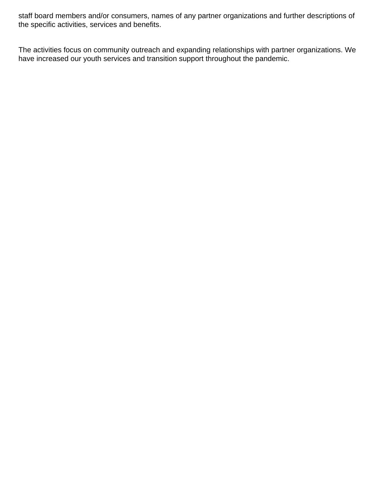staff board members and/or consumers, names of any partner organizations and further descriptions of the specific activities, services and benefits.

The activities focus on community outreach and expanding relationships with partner organizations. We have increased our youth services and transition support throughout the pandemic.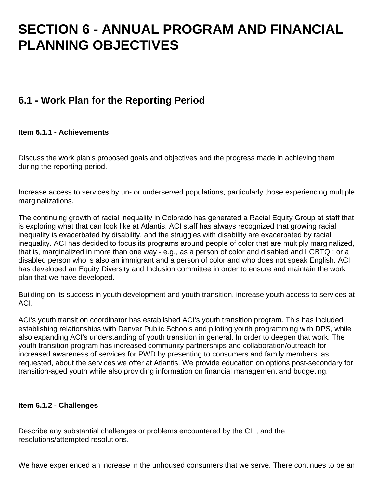## **SECTION 6 - ANNUAL PROGRAM AND FINANCIAL PLANNING OBJECTIVES**

## **6.1 - Work Plan for the Reporting Period**

#### **Item 6.1.1 - Achievements**

Discuss the work plan's proposed goals and objectives and the progress made in achieving them during the reporting period.

Increase access to services by un- or underserved populations, particularly those experiencing multiple marginalizations.

The continuing growth of racial inequality in Colorado has generated a Racial Equity Group at staff that is exploring what that can look like at Atlantis. ACI staff has always recognized that growing racial inequality is exacerbated by disability, and the struggles with disability are exacerbated by racial inequality. ACI has decided to focus its programs around people of color that are multiply marginalized, that is, marginalized in more than one way - e.g., as a person of color and disabled and LGBTQI; or a disabled person who is also an immigrant and a person of color and who does not speak English. ACI has developed an Equity Diversity and Inclusion committee in order to ensure and maintain the work plan that we have developed.

Building on its success in youth development and youth transition, increase youth access to services at ACI.

ACI's youth transition coordinator has established ACI's youth transition program. This has included establishing relationships with Denver Public Schools and piloting youth programming with DPS, while also expanding ACI's understanding of youth transition in general. In order to deepen that work. The youth transition program has increased community partnerships and collaboration/outreach for increased awareness of services for PWD by presenting to consumers and family members, as requested, about the services we offer at Atlantis. We provide education on options post-secondary for transition-aged youth while also providing information on financial management and budgeting.

#### **Item 6.1.2 - Challenges**

Describe any substantial challenges or problems encountered by the CIL, and the resolutions/attempted resolutions.

We have experienced an increase in the unhoused consumers that we serve. There continues to be an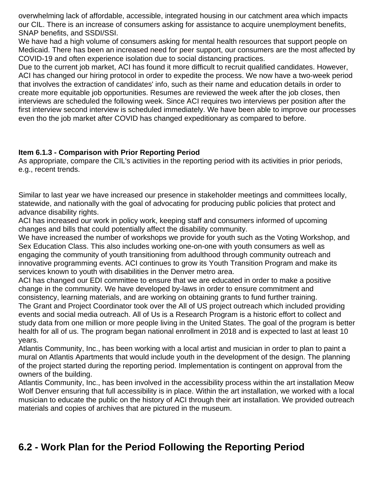overwhelming lack of affordable, accessible, integrated housing in our catchment area which impacts our CIL. There is an increase of consumers asking for assistance to acquire unemployment benefits, SNAP benefits, and SSDI/SSI.

We have had a high volume of consumers asking for mental health resources that support people on Medicaid. There has been an increased need for peer support, our consumers are the most affected by COVID-19 and often experience isolation due to social distancing practices.

Due to the current job market, ACI has found it more difficult to recruit qualified candidates. However, ACI has changed our hiring protocol in order to expedite the process. We now have a two-week period that involves the extraction of candidates' info, such as their name and education details in order to create more equitable job opportunities. Resumes are reviewed the week after the job closes, then interviews are scheduled the following week. Since ACI requires two interviews per position after the first interview second interview is scheduled immediately. We have been able to improve our processes even tho the job market after COVID has changed expeditionary as compared to before.

#### **Item 6.1.3 - Comparison with Prior Reporting Period**

As appropriate, compare the CIL's activities in the reporting period with its activities in prior periods, e.g., recent trends.

Similar to last year we have increased our presence in stakeholder meetings and committees locally, statewide, and nationally with the goal of advocating for producing public policies that protect and advance disability rights.

ACI has increased our work in policy work, keeping staff and consumers informed of upcoming changes and bills that could potentially affect the disability community.

We have increased the number of workshops we provide for youth such as the Voting Workshop, and Sex Education Class. This also includes working one-on-one with youth consumers as well as engaging the community of youth transitioning from adulthood through community outreach and innovative programming events. ACI continues to grow its Youth Transition Program and make its services known to youth with disabilities in the Denver metro area.

ACI has changed our EDI committee to ensure that we are educated in order to make a positive change in the community. We have developed by-laws in order to ensure commitment and consistency, learning materials, and are working on obtaining grants to fund further training.

The Grant and Project Coordinator took over the All of US project outreach which included providing events and social media outreach. All of Us is a Research Program is a historic effort to collect and study data from one million or more people living in the United States. The goal of the program is better health for all of us. The program began national enrollment in 2018 and is expected to last at least 10 years.

Atlantis Community, Inc., has been working with a local artist and musician in order to plan to paint a mural on Atlantis Apartments that would include youth in the development of the design. The planning of the project started during the reporting period. Implementation is contingent on approval from the owners of the building.

Atlantis Community, Inc., has been involved in the accessibility process within the art installation Meow Wolf Denver ensuring that full accessibility is in place. Within the art installation, we worked with a local musician to educate the public on the history of ACI through their art installation. We provided outreach materials and copies of archives that are pictured in the museum.

## **6.2 - Work Plan for the Period Following the Reporting Period**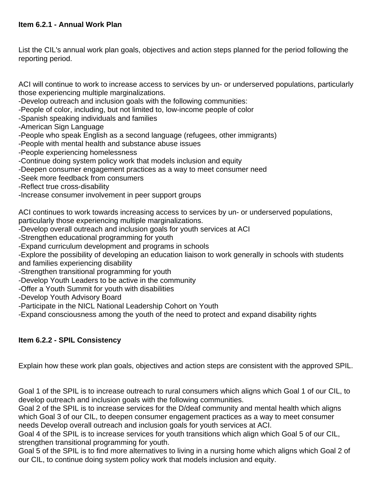List the CIL's annual work plan goals, objectives and action steps planned for the period following the reporting period.

ACI will continue to work to increase access to services by un- or underserved populations, particularly those experiencing multiple marginalizations.

-Develop outreach and inclusion goals with the following communities:

- -People of color, including, but not limited to, low-income people of color
- -Spanish speaking individuals and families
- -American Sign Language
- -People who speak English as a second language (refugees, other immigrants)
- -People with mental health and substance abuse issues
- -People experiencing homelessness
- -Continue doing system policy work that models inclusion and equity
- -Deepen consumer engagement practices as a way to meet consumer need
- -Seek more feedback from consumers
- -Reflect true cross-disability
- -Increase consumer involvement in peer support groups

ACI continues to work towards increasing access to services by un- or underserved populations, particularly those experiencing multiple marginalizations.

- -Develop overall outreach and inclusion goals for youth services at ACI
- -Strengthen educational programming for youth
- -Expand curriculum development and programs in schools

-Explore the possibility of developing an education liaison to work generally in schools with students and families experiencing disability

- -Strengthen transitional programming for youth
- -Develop Youth Leaders to be active in the community
- -Offer a Youth Summit for youth with disabilities
- -Develop Youth Advisory Board
- -Participate in the NICL National Leadership Cohort on Youth

-Expand consciousness among the youth of the need to protect and expand disability rights

#### **Item 6.2.2 - SPIL Consistency**

Explain how these work plan goals, objectives and action steps are consistent with the approved SPIL.

Goal 1 of the SPIL is to increase outreach to rural consumers which aligns which Goal 1 of our CIL, to develop outreach and inclusion goals with the following communities.

Goal 2 of the SPIL is to increase services for the D/deaf community and mental health which aligns which Goal 3 of our CIL, to deepen consumer engagement practices as a way to meet consumer needs Develop overall outreach and inclusion goals for youth services at ACI.

Goal 4 of the SPIL is to increase services for youth transitions which align which Goal 5 of our CIL, strengthen transitional programming for youth.

Goal 5 of the SPIL is to find more alternatives to living in a nursing home which aligns which Goal 2 of our CIL, to continue doing system policy work that models inclusion and equity.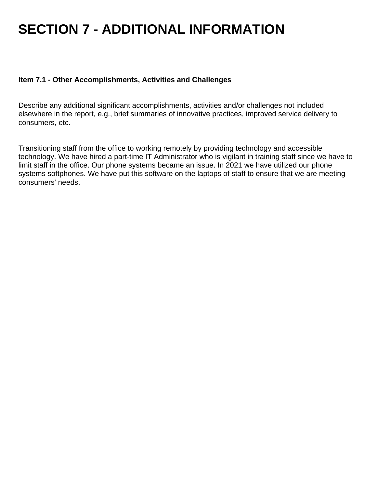# **SECTION 7 - ADDITIONAL INFORMATION**

#### **Item 7.1 - Other Accomplishments, Activities and Challenges**

Describe any additional significant accomplishments, activities and/or challenges not included elsewhere in the report, e.g., brief summaries of innovative practices, improved service delivery to consumers, etc.

Transitioning staff from the office to working remotely by providing technology and accessible technology. We have hired a part-time IT Administrator who is vigilant in training staff since we have to limit staff in the office. Our phone systems became an issue. In 2021 we have utilized our phone systems softphones. We have put this software on the laptops of staff to ensure that we are meeting consumers' needs.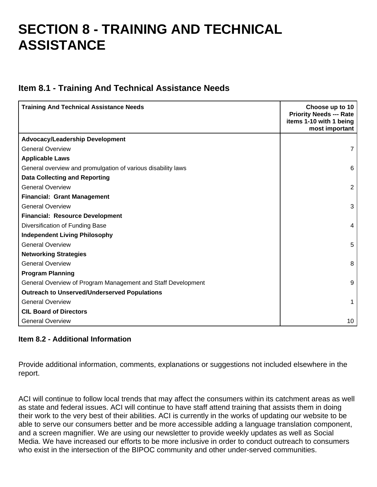## **SECTION 8 - TRAINING AND TECHNICAL ASSISTANCE**

### **Item 8.1 - Training And Technical Assistance Needs**

| <b>Training And Technical Assistance Needs</b>               | Choose up to 10<br><b>Priority Needs --- Rate</b><br>items 1-10 with 1 being<br>most important |
|--------------------------------------------------------------|------------------------------------------------------------------------------------------------|
| <b>Advocacy/Leadership Development</b>                       |                                                                                                |
| <b>General Overview</b>                                      | $\overline{7}$                                                                                 |
| <b>Applicable Laws</b>                                       |                                                                                                |
| General overview and promulgation of various disability laws | 6                                                                                              |
| <b>Data Collecting and Reporting</b>                         |                                                                                                |
| <b>General Overview</b>                                      | 2                                                                                              |
| <b>Financial: Grant Management</b>                           |                                                                                                |
| <b>General Overview</b>                                      | 3                                                                                              |
| <b>Financial: Resource Development</b>                       |                                                                                                |
| Diversification of Funding Base                              | 4                                                                                              |
| <b>Independent Living Philosophy</b>                         |                                                                                                |
| <b>General Overview</b>                                      | 5                                                                                              |
| <b>Networking Strategies</b>                                 |                                                                                                |
| <b>General Overview</b>                                      | 8                                                                                              |
| <b>Program Planning</b>                                      |                                                                                                |
| General Overview of Program Management and Staff Development | 9                                                                                              |
| <b>Outreach to Unserved/Underserved Populations</b>          |                                                                                                |
| <b>General Overview</b>                                      | 1                                                                                              |
| <b>CIL Board of Directors</b>                                |                                                                                                |
| <b>General Overview</b>                                      | 10                                                                                             |

#### **Item 8.2 - Additional Information**

Provide additional information, comments, explanations or suggestions not included elsewhere in the report.

ACI will continue to follow local trends that may affect the consumers within its catchment areas as well as state and federal issues. ACI will continue to have staff attend training that assists them in doing their work to the very best of their abilities. ACI is currently in the works of updating our website to be able to serve our consumers better and be more accessible adding a language translation component, and a screen magnifier. We are using our newsletter to provide weekly updates as well as Social Media. We have increased our efforts to be more inclusive in order to conduct outreach to consumers who exist in the intersection of the BIPOC community and other under-served communities.